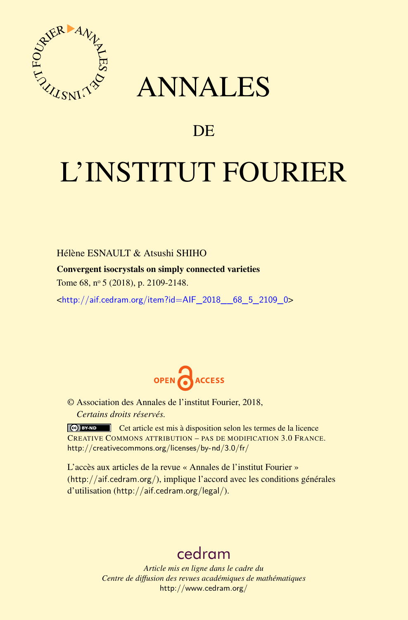

## ANNALES

### **DE**

# L'INSTITUT FOURIER

Hélène ESNAULT & Atsushi SHIHO Convergent isocrystals on simply connected varieties Tome 68, n<sup>o</sup> 5 (2018), p. 2109-2148.

<[http://aif.cedram.org/item?id=AIF\\_2018\\_\\_68\\_5\\_2109\\_0](http://aif.cedram.org/item?id=AIF_2018__68_5_2109_0)>



© Association des Annales de l'institut Fourier, 2018, *Certains droits réservés.*

Cet article est mis à disposition selon les termes de la licence CREATIVE COMMONS ATTRIBUTION – PAS DE MODIFICATION 3.0 FRANCE. <http://creativecommons.org/licenses/by-nd/3.0/fr/>

L'accès aux articles de la revue « Annales de l'institut Fourier » (<http://aif.cedram.org/>), implique l'accord avec les conditions générales d'utilisation (<http://aif.cedram.org/legal/>).

## [cedram](http://www.cedram.org/)

*Article mis en ligne dans le cadre du Centre de diffusion des revues académiques de mathématiques* <http://www.cedram.org/>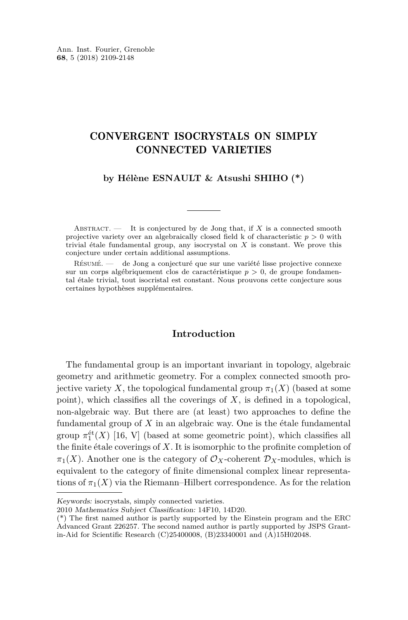#### CONVERGENT ISOCRYSTALS ON SIMPLY CONNECTED VARIETIES

**by Hélène ESNAULT & Atsushi SHIHO (\*)**

ABSTRACT.  $\qquad$  It is conjectured by de Jong that, if X is a connected smooth projective variety over an algebraically closed field k of characteristic  $p > 0$  with trivial étale fundamental group, any isocrystal on *X* is constant. We prove this conjecture under certain additional assumptions.

Résumé. — de Jong a conjecturé que sur une variété lisse projective connexe sur un corps algébriquement clos de caractéristique *p >* 0, de groupe fondamental étale trivial, tout isocristal est constant. Nous prouvons cette conjecture sous certaines hypothèses supplémentaires.

#### **Introduction**

The fundamental group is an important invariant in topology, algebraic geometry and arithmetic geometry. For a complex connected smooth projective variety X, the topological fundamental group  $\pi_1(X)$  (based at some point), which classifies all the coverings of *X*, is defined in a topological, non-algebraic way. But there are (at least) two approaches to define the fundamental group of *X* in an algebraic way. One is the étale fundamental group  $\pi_1^{\text{\'et}}(X)$  [\[16,](#page-39-0) V] (based at some geometric point), which classifies all the finite étale coverings of *X*. It is isomorphic to the profinite completion of  $\pi_1(X)$ . Another one is the category of  $\mathcal{O}_X$ -coherent  $\mathcal{D}_X$ -modules, which is equivalent to the category of finite dimensional complex linear representations of  $\pi_1(X)$  via the Riemann–Hilbert correspondence. As for the relation

Keywords: isocrystals, simply connected varieties.

<sup>2010</sup> Mathematics Subject Classification: 14F10, 14D20.

<sup>(\*)</sup> The first named author is partly supported by the Einstein program and the ERC Advanced Grant 226257. The second named author is partly supported by JSPS Grantin-Aid for Scientific Research (C)25400008, (B)23340001 and (A)15H02048.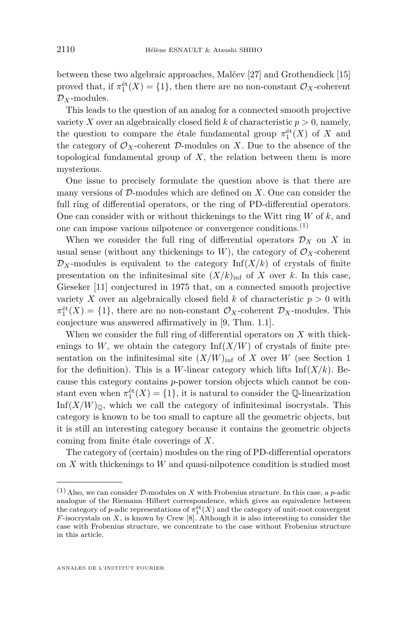between these two algebraic approaches, Malčev [\[27\]](#page-39-1) and Grothendieck [\[15\]](#page-39-2) proved that, if  $\pi_1^{\text{\'et}}(X) = \{1\}$ , then there are no non-constant  $\mathcal{O}_X$ -coherent D*X*-modules.

This leads to the question of an analog for a connected smooth projective variety *X* over an algebraically closed field *k* of characteristic  $p > 0$ , namely, the question to compare the étale fundamental group  $\pi_1^{\text{\'et}}(X)$  of *X* and the category of  $\mathcal{O}_X$ -coherent  $\mathcal{D}$ -modules on X. Due to the absence of the topological fundamental group of *X*, the relation between them is more mysterious.

One issue to precisely formulate the question above is that there are many versions of D-modules which are defined on *X*. One can consider the full ring of differential operators, or the ring of PD-differential operators. One can consider with or without thickenings to the Witt ring *W* of *k*, and one can impose various nilpotence or convergence conditions.(1)

When we consider the full ring of differential operators  $\mathcal{D}_X$  on X in usual sense (without any thickenings to  $W$ ), the category of  $\mathcal{O}_X$ -coherent  $\mathcal{D}_X$ -modules is equivalent to the category Inf(*X/k*) of crystals of finite presentation on the infinitesimal site  $(X/k)_{\text{inf}}$  of X over k. In this case, Gieseker [\[11\]](#page-38-0) conjectured in 1975 that, on a connected smooth projective variety *X* over an algebraically closed field *k* of characteristic  $p > 0$  with  $\pi_1^{\text{\'et}}(X) = \{1\}$ , there are no non-constant  $\mathcal{O}_X$ -coherent  $\mathcal{D}_X$ -modules. This conjecture was answered affirmatively in [\[9,](#page-38-1) Thm. 1.1].

When we consider the full ring of differential operators on *X* with thickenings to  $W$ , we obtain the category  $\text{Inf}(X/W)$  of crystals of finite presentation on the infinitesimal site  $(X/W)_{\text{inf}}$  of *X* over *W* (see Section [1](#page-5-0)) for the definition). This is a *W*-linear category which lifts  $\text{Inf}(X/k)$ . Because this category contains *p*-power torsion objects which cannot be constant even when  $\pi_1^{\text{\'et}}(X) = \{1\}$ , it is natural to consider the Q-linearization  $Inf(X/W)_\mathbb{Q}$ , which we call the category of infinitesimal isocrystals. This category is known to be too small to capture all the geometric objects, but it is still an interesting category because it contains the geometric objects coming from finite étale coverings of *X*.

The category of (certain) modules on the ring of PD-differential operators on *X* with thickenings to *W* and quasi-nilpotence condition is studied most

 $(1)$  Also, we can consider D-modules on X with Frobenius structure. In this case, a *p*-adic analogue of the Riemann–Hilbert correspondence, which gives an equivalence between the category of *p*-adic representations of  $\pi_1^{\text{\'et}}(X)$  and the category of unit-root convergent *F*-isocrystals on *X*, is known by Crew [\[8\]](#page-38-2). Although it is also interesting to consider the case with Frobenius structure, we concentrate to the case without Frobenius structure in this article.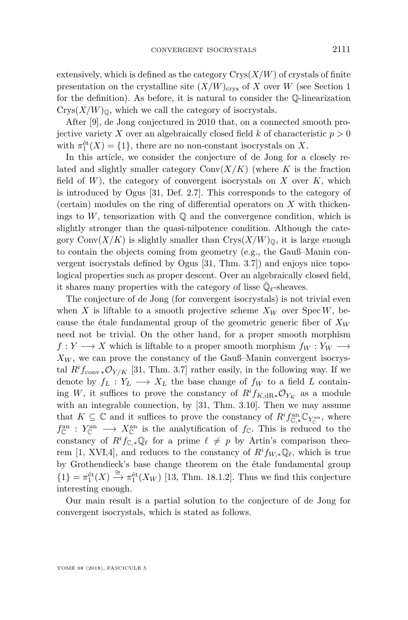extensively, which is defined as the category  $Crys(X/W)$  of crystals of finite presentation on the crystalline site  $(X/W)_{\text{crys}}$  of *X* over *W* (see Section [1](#page-5-0)) for the definition). As before, it is natural to consider the Q-linearization  $Crys(X/W)_{\mathbb{Q}}$ , which we call the category of isocrystals.

After [\[9\]](#page-38-1), de Jong conjectured in 2010 that, on a connected smooth projective variety *X* over an algebraically closed field *k* of characteristic  $p > 0$ with  $\pi_1^{\text{\'et}}(X) = \{1\}$ , there are no non-constant isocrystals on *X*.

In this article, we consider the conjecture of de Jong for a closely related and slightly smaller category  $Conv(X/K)$  (where *K* is the fraction field of *W*), the category of convergent isocrystals on *X* over *K*, which is introduced by Ogus [\[31,](#page-39-3) Def. 2.7]. This corresponds to the category of (certain) modules on the ring of differential operators on *X* with thickenings to  $W$ , tensorization with  $\mathbb Q$  and the convergence condition, which is slightly stronger than the quasi-nilpotence condition. Although the category Conv $(X/K)$  is slightly smaller than  $Crys(X/W)_\mathbb{Q}$ , it is large enough to contain the objects coming from geometry (e.g., the Gauß–Manin convergent isocrystals defined by Ogus [\[31,](#page-39-3) Thm. 3.7]) and enjoys nice topological properties such as proper descent. Over an algebraically closed field, it shares many properties with the category of lisse  $\bar{\mathbb{Q}}_\ell\text{-sheaves}.$ 

The conjecture of de Jong (for convergent isocrystals) is not trivial even when *X* is liftable to a smooth projective scheme  $X_W$  over  $Spec W$ , because the étale fundamental group of the geometric generic fiber of *X<sup>W</sup>* need not be trivial. On the other hand, for a proper smooth morphism  $f: Y \longrightarrow X$  which is liftable to a proper smooth morphism  $f_W: Y_W \longrightarrow Y$  $X_W$ , we can prove the constancy of the Gauß–Manin convergent isocrystal  $R$ <sup>*i*</sup> $f_{\text{conv}}$   $\mathcal{O}_{Y/K}$  [\[31,](#page-39-3) Thm. 3.7] rather easily, in the following way. If we denote by  $f_L: Y_L \longrightarrow X_L$  the base change of  $f_W$  to a field *L* containing *W*, it suffices to prove the constancy of  $R$ <sup>*i*</sup> $f_{K,\text{dR*}}$  $\mathcal{O}_{Y_K}$  as a module with an integrable connection, by [\[31,](#page-39-3) Thm. 3.10]. Then we may assume that  $K \subseteq \mathbb{C}$  and it suffices to prove the constancy of  $R^i f_{\mathbb{C}, *}^{an} \mathbb{C}_{Y_{\mathbb{C}}^{an}}$ , where  $f_{\mathbb{C}}^{\text{an}}$  :  $Y_{\mathbb{C}}^{\text{an}} \longrightarrow X_{\mathbb{C}}^{\text{an}}$  is the analytification of  $f_{\mathbb{C}}$ . This is reduced to the constancy of  $R^i f_{\mathbb{C}, *}\mathbb{Q}_\ell$  for a prime  $\ell \neq p$  by Artin's comparison theo-rem [\[1,](#page-38-3) XVI,4], and reduces to the constancy of  $R^i f_{W,*} \mathbb{Q}_\ell$ , which is true by Grothendieck's base change theorem on the étale fundamental group  ${1}$ } =  $\pi_1^{\text{\'et}}(X) \stackrel{\cong}{\to} \pi_1^{\text{\'et}}(X_W)$  [\[13,](#page-39-4) Thm. 18.1.2]. Thus we find this conjecture interesting enough.

Our main result is a partial solution to the conjecture of de Jong for convergent isocrystals, which is stated as follows.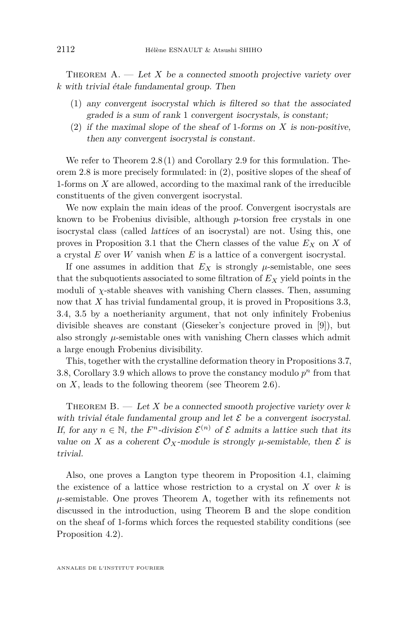<span id="page-4-0"></span>THEOREM  $A.$  — Let *X* be a connected smooth projective variety over *k* with trivial étale fundamental group. Then

- (1) any convergent isocrystal which is filtered so that the associated graded is a sum of rank 1 convergent isocrystals, is constant;
- (2) if the maximal slope of the sheaf of 1-forms on *X* is non-positive, then any convergent isocrystal is constant.

We refer to Theorem [2.8](#page-19-0)[\(1\)](#page-19-1) and Corollary [2.9](#page-20-0) for this formulation. Theorem [2.8](#page-19-0) is more precisely formulated: in [\(2\)](#page-19-2), positive slopes of the sheaf of 1-forms on *X* are allowed, according to the maximal rank of the irreducible constituents of the given convergent isocrystal.

We now explain the main ideas of the proof. Convergent isocrystals are known to be Frobenius divisible, although *p*-torsion free crystals in one isocrystal class (called lattices of an isocrystal) are not. Using this, one proves in Proposition [3.1](#page-24-0) that the Chern classes of the value *E<sup>X</sup>* on *X* of a crystal *E* over *W* vanish when *E* is a lattice of a convergent isocrystal.

If one assumes in addition that  $E_X$  is strongly  $\mu$ -semistable, one sees that the subquotients associated to some filtration of *E<sup>X</sup>* yield points in the moduli of *χ*-stable sheaves with vanishing Chern classes. Then, assuming now that *X* has trivial fundamental group, it is proved in Propositions [3.3,](#page-25-0) [3.4,](#page-26-0) [3.5](#page-27-0) by a noetherianity argument, that not only infinitely Frobenius divisible sheaves are constant (Gieseker's conjecture proved in [\[9\]](#page-38-1)), but also strongly  $\mu$ -semistable ones with vanishing Chern classes which admit a large enough Frobenius divisibility.

This, together with the crystalline deformation theory in Propositions [3.7,](#page-28-0) [3.8,](#page-30-0) Corollary [3.9](#page-30-1) which allows to prove the constancy modulo  $p<sup>n</sup>$  from that on *X*, leads to the following theorem (see Theorem [2.6\)](#page-19-3).

<span id="page-4-1"></span>THEOREM  $B. - Let X$  be a connected smooth projective variety over  $k$ with trivial étale fundamental group and let  $\mathcal E$  be a convergent isocrystal. If, for any  $n \in \mathbb{N}$ , the  $F<sup>n</sup>$ -division  $\mathcal{E}^{(n)}$  of  $\mathcal E$  admits a lattice such that its value on *X* as a coherent  $\mathcal{O}_X$ -module is strongly  $\mu$ -semistable, then  $\mathcal E$  is trivial.

Also, one proves a Langton type theorem in Proposition [4.1,](#page-33-0) claiming the existence of a lattice whose restriction to a crystal on *X* over *k* is  $\mu$ -semistable. One proves Theorem [A,](#page-4-0) together with its refinements not discussed in the introduction, using Theorem [B](#page-4-1) and the slope condition on the sheaf of 1-forms which forces the requested stability conditions (see Proposition [4.2\)](#page-35-0).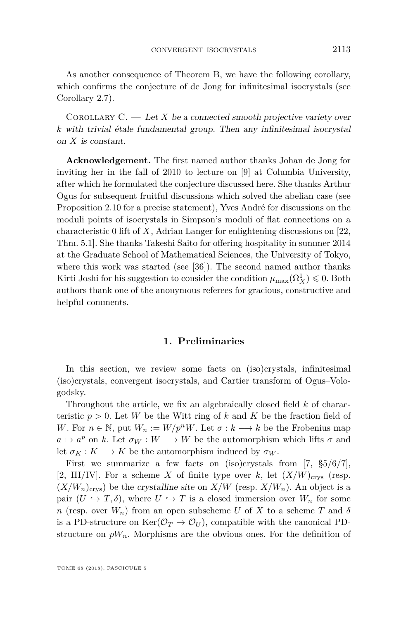As another consequence of Theorem [B,](#page-4-1) we have the following corollary, which confirms the conjecture of de Jong for infinitesimal isocrystals (see Corollary [2.7\)](#page-19-4).

Corollary C. — Let *X* be a connected smooth projective variety over *k* with trivial étale fundamental group. Then any infinitesimal isocrystal on *X* is constant.

**Acknowledgement.** The first named author thanks Johan de Jong for inviting her in the fall of 2010 to lecture on [\[9\]](#page-38-1) at Columbia University, after which he formulated the conjecture discussed here. She thanks Arthur Ogus for subsequent fruitful discussions which solved the abelian case (see Proposition [2.10](#page-20-1) for a precise statement), Yves André for discussions on the moduli points of isocrystals in Simpson's moduli of flat connections on a characteristic 0 lift of *X*, Adrian Langer for enlightening discussions on [\[22,](#page-39-5) Thm. 5.1]. She thanks Takeshi Saito for offering hospitality in summer 2014 at the Graduate School of Mathematical Sciences, the University of Tokyo, where this work was started (see [\[36\]](#page-40-0)). The second named author thanks Kirti Joshi for his suggestion to consider the condition  $\mu_{\max}(\Omega^1_X) \leqslant 0$ . Both authors thank one of the anonymous referees for gracious, constructive and helpful comments.

#### **1. Preliminaries**

<span id="page-5-0"></span>In this section, we review some facts on (iso)crystals, infinitesimal (iso)crystals, convergent isocrystals, and Cartier transform of Ogus–Vologodsky.

Throughout the article, we fix an algebraically closed field *k* of characteristic  $p > 0$ . Let *W* be the Witt ring of *k* and *K* be the fraction field of *W*. For  $n \in \mathbb{N}$ , put  $W_n := W/p^nW$ . Let  $\sigma : k \longrightarrow k$  be the Frobenius map  $a \mapsto a^p$  on *k*. Let  $\sigma_W : W \longrightarrow W$  be the automorphism which lifts  $\sigma$  and let  $\sigma_K : K \longrightarrow K$  be the automorphism induced by  $\sigma_W$ .

First we summarize a few facts on (iso)crystals from [\[7,](#page-38-4) §5/6/7], [\[2,](#page-38-5) III/IV]. For a scheme X of finite type over k, let  $(X/W)_{\text{crys}}$  (resp.  $(X/W_n)_{\text{crys}}$ ) be the crystalline site on  $X/W$  (resp.  $X/W_n$ ). An object is a pair  $(U \hookrightarrow T, \delta)$ , where  $U \hookrightarrow T$  is a closed immersion over  $W_n$  for some *n* (resp. over  $W_n$ ) from an open subscheme *U* of *X* to a scheme *T* and *δ* is a PD-structure on  $\text{Ker}(\mathcal{O}_T \to \mathcal{O}_U)$ , compatible with the canonical PDstructure on  $pW_n$ . Morphisms are the obvious ones. For the definition of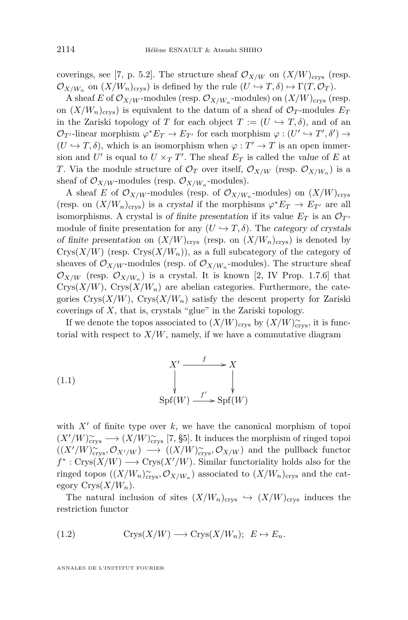coverings, see [\[7,](#page-38-4) p. 5.2]. The structure sheaf  $\mathcal{O}_{X/W}$  on  $(X/W)_{\text{crys}}$  (resp.  $\mathcal{O}_{X/W_n}$  on  $(X/W_n)_{\text{crys}}$ ) is defined by the rule  $(U \hookrightarrow T, \delta) \mapsto \Gamma(T, \mathcal{O}_T)$ .

A sheaf *E* of  $\mathcal{O}_{X/W}$ -modules (resp.  $\mathcal{O}_{X/W_n}$ -modules) on  $(X/W)_{\text{crys}}$  (resp. on  $(X/W_n)_{\text{crys}}$  is equivalent to the datum of a sheaf of  $\mathcal{O}_T$ -modules  $E_T$ in the Zariski topology of *T* for each object  $T := (U \hookrightarrow T, \delta)$ , and of an  $\mathcal{O}_{T'}$ -linear morphism  $\varphi^* E_T \to E_{T'}$  for each morphism  $\varphi: (U' \hookrightarrow T', \delta') \to$  $(U \hookrightarrow T, \delta)$ , which is an isomorphism when  $\varphi : T' \to T$  is an open immersion and  $U'$  is equal to  $U \times_T T'$ . The sheaf  $E_T$  is called the value of  $E$  at *T*. Via the module structure of  $\mathcal{O}_T$  over itself,  $\mathcal{O}_{X/W}$  (resp.  $\mathcal{O}_{X/W_n}$ ) is a sheaf of  $\mathcal{O}_{X/W}$ -modules (resp.  $\mathcal{O}_{X/W_n}$ -modules).

A sheaf *E* of  $\mathcal{O}_{X/W}$ -modules (resp. of  $\mathcal{O}_{X/W_n}$ -modules) on  $(X/W)_{\text{crys}}$ (resp. on  $(X/W_n)_{\text{crys}}$ ) is a crystal if the morphisms  $\varphi^* E_T \to E_{T'}$  are all isomorphisms. A crystal is of finite presentation if its value  $E_T$  is an  $\mathcal{O}_T$ module of finite presentation for any  $(U \hookrightarrow T, \delta)$ . The *category of crystals* of finite presentation on  $(X/W)_{\text{crys}}$  (resp. on  $(X/W_n)_{\text{crys}}$ ) is denoted by Crys $(X/W)$  (resp. Crys $(X/W_n)$ ), as a full subcategory of the category of sheaves of  $\mathcal{O}_{X/W}$ -modules (resp. of  $\mathcal{O}_{X/W_n}$ -modules). The structure sheaf  $\mathcal{O}_{X/W}$  (resp.  $\mathcal{O}_{X/W_n}$ ) is a crystal. It is known [\[2,](#page-38-5) IV Prop. 1.7.6] that  $Crys(X/W)$ ,  $Crys(X/W_n)$  are abelian categories. Furthermore, the categories  $Crys(X/W)$ ,  $Crys(X/W_n)$  satisfy the descent property for Zariski coverings of *X*, that is, crystals "glue" in the Zariski topology.

If we denote the topos associated to  $(X/W)_{\text{crys}}$  by  $(X/W)_{\text{crys}}^{\sim}$ , it is functorial with respect to  $X/W$ , namely, if we have a commutative diagram

<span id="page-6-1"></span>(1.1) 
$$
X' \xrightarrow{f} X
$$

$$
\downarrow \qquad \qquad \downarrow
$$

$$
\text{Spf}(W) \xrightarrow{f'} \text{Spf}(W)
$$

with  $X'$  of finite type over  $k$ , we have the canonical morphism of topoi  $(X'/W)_{\text{crys}}^{\sim} \longrightarrow (X/W)_{\text{crys}}^{\sim}$  [\[7,](#page-38-4) §5]. It induces the morphism of ringed topoi  $((X'/W)_{\text{crys}}^{\sim}, \mathcal{O}_{X'/W}) \longrightarrow ((X/W)_{\text{crys}}^{\sim}, \mathcal{O}_{X/W})$  and the pullback functor  $f^*: \text{Crys}(X/W) \longrightarrow \text{Crys}(X'/W)$ . Similar functoriality holds also for the ringed topos  $((X/W_n)_{\text{crys}}^{\infty}, \mathcal{O}_{X/W_n})$  associated to  $(X/W_n)_{\text{crys}}$  and the category  $Crys(X/W_n)$ .

The natural inclusion of sites  $(X/W_n)_{\text{crys}} \hookrightarrow (X/W)_{\text{crys}}$  induces the restriction functor

<span id="page-6-0"></span>(1.2) 
$$
Crys(X/W) \longrightarrow Crys(X/W_n); E \mapsto E_n.
$$

ANNALES DE L'INSTITUT FOURIER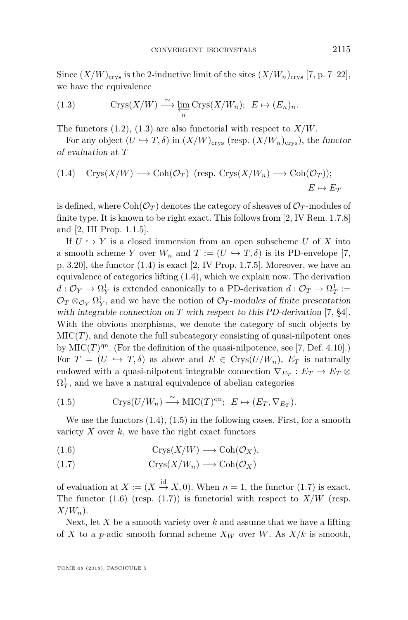Since  $(X/W)_{\text{crys}}$  is the 2-inductive limit of the sites  $(X/W_n)_{\text{crys}}$  [\[7,](#page-38-4) p. 7–22], we have the equivalence

<span id="page-7-0"></span>(1.3) 
$$
\operatorname{Crys}(X/W) \stackrel{\simeq}{\longrightarrow} \varprojlim_n \operatorname{Crys}(X/W_n); \ \ E \mapsto (E_n)_n.
$$

The functors [\(1.2\)](#page-6-0), [\(1.3\)](#page-7-0) are also functorial with respect to *X/W*.

For any object  $(U \hookrightarrow T, \delta)$  in  $(X/W)_{\text{crys}}$  (resp.  $(X/W_n)_{\text{crys}}$ ), the functor of evaluation at *T*

<span id="page-7-1"></span>(1.4) 
$$
\text{Crys}(X/W) \longrightarrow \text{Coh}(\mathcal{O}_T)
$$
 (resp.  $\text{Crys}(X/W_n) \longrightarrow \text{Coh}(\mathcal{O}_T)$ );  
 $E \mapsto E_T$ 

is defined, where  $Coh(\mathcal{O}_T)$  denotes the category of sheaves of  $\mathcal{O}_T$ -modules of finite type. It is known to be right exact. This follows from [\[2,](#page-38-5) IV Rem. 1.7.8] and [\[2,](#page-38-5) III Prop. 1.1.5].

If  $U \hookrightarrow Y$  is a closed immersion from an open subscheme *U* of *X* into a smooth scheme *Y* over  $W_n$  and  $T := (U \hookrightarrow T, \delta)$  is its PD-envelope [\[7,](#page-38-4) p. 3.20], the functor [\(1.4\)](#page-7-1) is exact [\[2,](#page-38-5) IV Prop. 1.7.5]. Moreover, we have an equivalence of categories lifting [\(1.4\)](#page-7-1), which we explain now. The derivation  $d: \mathcal{O}_Y \to \Omega^1_Y$  is extended canonically to a PD-derivation  $d: \mathcal{O}_T \to \Omega^1_T :=$  $\mathcal{O}_T \otimes_{\mathcal{O}_Y} \Omega^1_Y$ , and we have the notion of  $\mathcal{O}_T$ -modules of finite presentation with integrable connection on *T* with respect to this PD-derivation [\[7,](#page-38-4) §4]. With the obvious morphisms, we denote the category of such objects by  $\mathrm{MIC}(T)$ , and denote the full subcategory consisting of quasi-nilpotent ones by  $MIC(T)^{qn}$ . (For the definition of the quasi-nilpotence, see [\[7,](#page-38-4) Def. 4.10].) For  $T = (U \hookrightarrow T, \delta)$  as above and  $E \in Crys(U/W_n)$ ,  $E_T$  is naturally endowed with a quasi-nilpotent integrable connection  $\nabla_{E_T} : E_T \to E_T \otimes$  $\Omega_T^1$ , and we have a natural equivalence of abelian categories

<span id="page-7-2"></span>(1.5) 
$$
\mathrm{Crys}(U/W_n) \xrightarrow{\simeq} \mathrm{MIC}(T)^{\mathrm{qn}}; \ \ E \mapsto (E_T, \nabla_{E_T}).
$$

We use the functors  $(1.4)$ ,  $(1.5)$  in the following cases. First, for a smooth variety  $X$  over  $k$ , we have the right exact functors

<span id="page-7-4"></span><span id="page-7-3"></span>(1.6) 
$$
Crys(X/W) \longrightarrow \text{Coh}(\mathcal{O}_X),
$$

$$
(1.7) \t\text{Crys}(X/W_n) \longrightarrow \text{Coh}(\mathcal{O}_X)
$$

of evaluation at  $X := (X \stackrel{\text{id}}{\hookrightarrow} X, 0)$ . When  $n = 1$ , the functor [\(1.7\)](#page-7-3) is exact. The functor  $(1.6)$  (resp.  $(1.7)$ ) is functorial with respect to  $X/W$  (resp. *X/Wn*).

Next, let *X* be a smooth variety over *k* and assume that we have a lifting of *X* to a *p*-adic smooth formal scheme  $X_W$  over *W*. As  $X/k$  is smooth,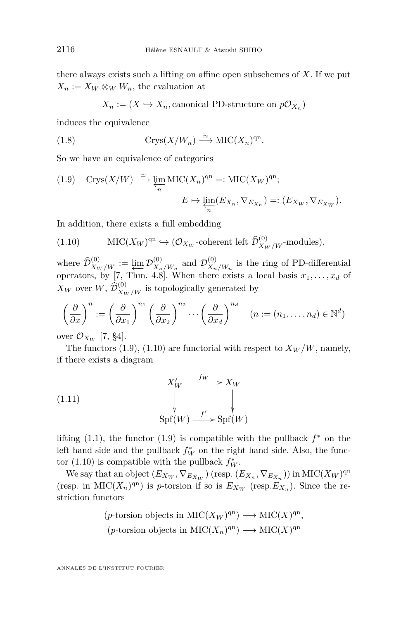there always exists such a lifting on affine open subschemes of *X*. If we put  $X_n := X_W \otimes_W W_n$ , the evaluation at

<span id="page-8-2"></span>
$$
X_n := (X \hookrightarrow X_n
$$
, canonical PD-structure on  $p\mathcal{O}_{X_n}$ )

induces the equivalence

(1.8) 
$$
Crys(X/W_n) \xrightarrow{\simeq} \mathrm{MIC}(X_n)^{\mathrm{qn}}.
$$

So we have an equivalence of categories

<span id="page-8-0"></span>(1.9) 
$$
\operatorname{Crys}(X/W) \stackrel{\simeq}{\longrightarrow} \varprojlim_n \operatorname{MIC}(X_n)^{\operatorname{qn}} =: \operatorname{MIC}(X_W)^{\operatorname{qn}};
$$

$$
E \mapsto \varprojlim_n (E_{X_n}, \nabla_{E_{X_n}}) =: (E_{X_W}, \nabla_{E_{X_W}}).
$$

In addition, there exists a full embedding

<span id="page-8-1"></span>(1.10) 
$$
\mathrm{MIC}(X_W)^{\mathrm{qn}} \hookrightarrow (\mathcal{O}_{X_W}\text{-coherent left }\widehat{\mathcal{D}}_{X_W/W}^{(0)}\text{-modules}),
$$

where  $\widehat{\mathcal{D}}_{X_W/W}^{(0)} := \varprojlim \mathcal{D}_{X_n}^{(0)}$  $\frac{X_n}{W_n}$  and  $\mathcal{D}_{X_n}^{(0)}$  $X_n/W_n$  is the ring of PD-differential operators, by [\[7,](#page-38-4) Thm. 4.8]. When there exists a local basis  $x_1, \ldots, x_d$  of  $X_W$  over  $W$ ,  $\hat{\mathcal{D}}_{X_W/W}^{(0)}$  is topologically generated by

$$
\left(\frac{\partial}{\partial x}\right)^n := \left(\frac{\partial}{\partial x_1}\right)^{n_1} \left(\frac{\partial}{\partial x_2}\right)^{n_2} \cdots \left(\frac{\partial}{\partial x_d}\right)^{n_d} \quad (n := (n_1, \dots, n_d) \in \mathbb{N}^d)
$$

over  $\mathcal{O}_{X_W}$  [\[7,](#page-38-4) §4].

The functors  $(1.9)$ ,  $(1.10)$  are functorial with respect to  $X_W/W$ , namely, if there exists a diagram

<span id="page-8-3"></span>(1.11) 
$$
X'_{W} \xrightarrow{f_{W}} X_{W}
$$

$$
\downarrow \qquad \qquad \downarrow
$$

$$
Spf(W) \xrightarrow{f'} Spf(W)
$$

lifting  $(1.1)$ , the functor  $(1.9)$  is compatible with the pullback  $f^*$  on the left hand side and the pullback  $f_W^*$  on the right hand side. Also, the func-tor [\(1.10\)](#page-8-1) is compatible with the pullback  $f_W^*$ .

We say that an object  $(E_{X_W}, \nabla_{E_{X_W}})$  (resp.  $(E_{X_n}, \nabla_{E_{X_n}})$ ) in MIC( $X_W$ )<sup>qn</sup> (resp. in MIC( $X_n$ )<sup>qn</sup>) is *p*-torsion if so is  $E_{X_W}$  (resp. $E_{X_n}$ ). Since the restriction functors

$$
(p\text{-torsion objects in MIC}(X_W)^{qn}) \longrightarrow MIC(X)^{qn},
$$
  
 $(p\text{-torsion objects in MIC}(X_n)^{qn}) \longrightarrow MIC(X)^{qn}.$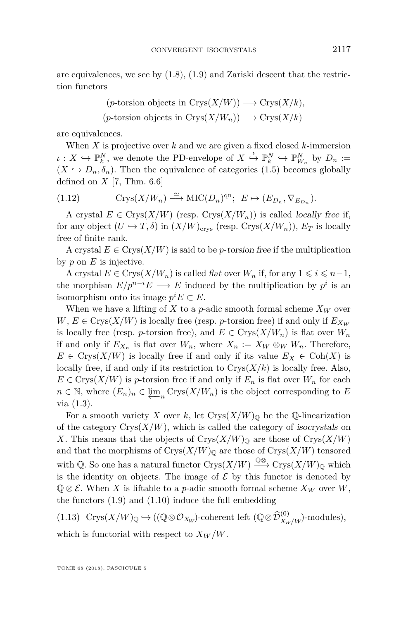are equivalences, we see by  $(1.8)$ ,  $(1.9)$  and Zariski descent that the restriction functors

$$
(p\text{-torsion objects in Crys}(X/W)) \longrightarrow \text{Crys}(X/k),
$$
  

$$
(p\text{-torsion objects in Crys}(X/W_n)) \longrightarrow \text{Crys}(X/k)
$$

are equivalences.

When *X* is projective over *k* and we are given a fixed closed *k*-immersion  $\iota: X \hookrightarrow \mathbb{P}_{k}^{N}$ , we denote the PD-envelope of  $X \xrightarrow{\iota} \mathbb{P}_{k}^{N} \hookrightarrow \mathbb{P}_{W_{n}}^{N}$  by  $D_{n} :=$  $(X \hookrightarrow D_n, \delta_n)$ . Then the equivalence of categories [\(1.5\)](#page-7-2) becomes globally defined on  $X$  [\[7,](#page-38-4) Thm. 6.6]

<span id="page-9-1"></span>(1.12) 
$$
\mathrm{Crys}(X/W_n) \xrightarrow{\simeq} \mathrm{MIC}(D_n)^{\mathrm{qn}}; \ \ E \mapsto (E_{D_n}, \nabla_{E_{D_n}}).
$$

A crystal  $E \in Crys(X/W)$  (resp.  $Crys(X/W_n)$ ) is called *locally free if,* for any object  $(U \hookrightarrow T, \delta)$  in  $(X/W)_{\text{crys}}$  (resp. Crys $(X/W_n)$ ),  $E_T$  is locally free of finite rank.

A crystal  $E \in Crys(X/W)$  is said to be *p*-torsion free if the multiplication by *p* on *E* is injective.

A crystal  $E \in \text{Crys}(X/W_n)$  is called flat over  $W_n$  if, for any  $1 \leq i \leq n-1$ , the morphism  $E/p^{n-i}E \longrightarrow E$  induced by the multiplication by  $p^i$  is an isomorphism onto its image  $p^i E \subset E$ .

When we have a lifting of *X* to a *p*-adic smooth formal scheme  $X_W$  over  $W, E \in \text{Crys}(X/W)$  is locally free (resp. *p*-torsion free) if and only if  $E_{X_W}$ is locally free (resp. *p*-torsion free), and  $E \in Crys(X/W_n)$  is flat over  $W_n$ if and only if  $E_{X_n}$  is flat over  $W_n$ , where  $X_n := X_W \otimes_W W_n$ . Therefore,  $E \in \text{Crys}(X/W)$  is locally free if and only if its value  $E_X \in \text{Coh}(X)$  is locally free, if and only if its restriction to  $Crys(X/k)$  is locally free. Also,  $E \in \text{Crys}(X/W)$  is *p*-torsion free if and only if  $E_n$  is flat over  $W_n$  for each *n* ∈ N, where  $(E_n)_n$  ∈  $\underset{\longleftarrow}{\text{lim}}$  Crys(*X/W<sub>n</sub>*) is the object corresponding to *E* via [\(1.3\)](#page-7-0).

For a smooth variety *X* over *k*, let  $Crys(X/W)_\mathbb{O}$  be the Q-linearization of the category  $Crys(X/W)$ , which is called the category of isocrystals on X. This means that the objects of  $Crys(X/W)$ <sub>0</sub> are those of  $Crys(X/W)$ and that the morphisms of  $Crys(X/W)$ <sub>0</sub> are those of  $Crys(X/W)$  tensored with Q. So one has a natural functor  $Crys(X/W) \stackrel{\mathbb{Q} \otimes}{\longrightarrow} Crys(X/W)_{\mathbb{Q}}$  which is the identity on objects. The image of  $\mathcal E$  by this functor is denoted by  $\mathbb{Q} \otimes \mathcal{E}$ . When *X* is liftable to a *p*-adic smooth formal scheme  $X_W$  over *W*, the functors [\(1.9\)](#page-8-0) and [\(1.10\)](#page-8-1) induce the full embedding

<span id="page-9-0"></span> $(1.13) \text{Crys}(X/W)_{\mathbb{Q}} \hookrightarrow ((\mathbb{Q} \otimes \mathcal{O}_{X_W})\text{-coherent left } (\mathbb{Q} \otimes \widehat{\mathcal{D}}_{X_W/W}^{(0)})\text{-modules}),$ which is functorial with respect to  $X_W/W$ .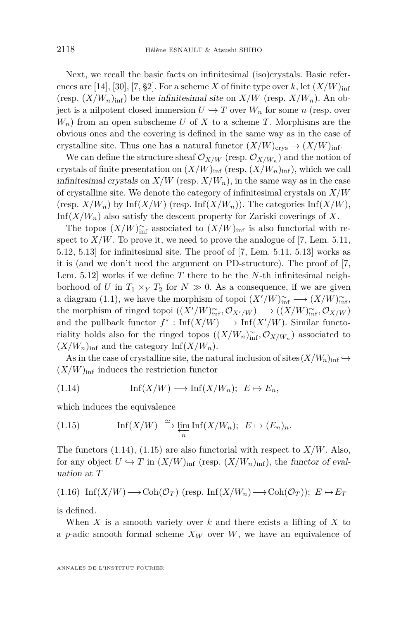Next, we recall the basic facts on infinitesimal (iso)crystals. Basic refer-ences are [\[14\]](#page-39-6), [\[30\]](#page-39-7), [\[7,](#page-38-4) §2]. For a scheme *X* of finite type over *k*, let  $(X/W)_{\text{inf}}$ (resp.  $(X/W_n)_{\text{inf}}$ ) be the infinitesimal site on  $X/W$  (resp.  $X/W_n$ ). An object is a nilpotent closed immersion  $U \hookrightarrow T$  over  $W_n$  for some *n* (resp. over *Wn*) from an open subscheme *U* of *X* to a scheme *T*. Morphisms are the obvious ones and the covering is defined in the same way as in the case of crystalline site. Thus one has a natural functor  $(X/W)_{\text{crys}} \to (X/W)_{\text{inf}}$ .

We can define the structure sheaf  $\mathcal{O}_{X/W}$  (resp.  $\mathcal{O}_{X/W_n}$ ) and the notion of crystals of finite presentation on  $(X/W)_{\text{inf}}$  (resp.  $(X/W_n)_{\text{inf}}$ ), which we call infinitesimal crystals on  $X/W$  (resp.  $X/W_n$ ), in the same way as in the case of crystalline site. We denote the category of infinitesimal crystals on *X/W*  $(\text{resp. } X/W_n)$  by  $\text{Inf}(X/W)$  (resp.  $\text{Inf}(X/W_n)$ ). The categories  $\text{Inf}(X/W)$ , Inf $(X/W_n)$  also satisfy the descent property for Zariski coverings of X.

The topos  $(X/W)_{\text{inf}}^{\sim}$  associated to  $(X/W)_{\text{inf}}$  is also functorial with respect to  $X/W$ . To prove it, we need to prove the analogue of [\[7,](#page-38-4) Lem. 5.11, 5.12, 5.13] for infinitesimal site. The proof of [\[7,](#page-38-4) Lem. 5.11, 5.13] works as it is (and we don't need the argument on PD-structure). The proof of [\[7,](#page-38-4) Lem. 5.12] works if we define *T* there to be the *N*-th infinitesimal neighborhood of *U* in  $T_1 \times_Y T_2$  for  $N \gg 0$ . As a consequence, if we are given a diagram [\(1.1\)](#page-6-1), we have the morphism of topoi  $(X'/W)_{\text{inf}}^{\sim} \longrightarrow (X/W)_{\text{inf}}^{\sim}$ , the morphism of ringed topoi  $((X'/W)^{\sim}_{\text{inf}}, \mathcal{O}_{X'/W}) \longrightarrow ((X/W)^{\sim}_{\text{inf}}, \mathcal{O}_{X/W})$ and the pullback functor  $f^*$ : Inf( $X/W$ )  $\longrightarrow$  Inf( $X'/W$ ). Similar functoriality holds also for the ringed topos  $((X/W_n)_{\text{inf}}^{\sim}, \mathcal{O}_{X/W_n})$  associated to  $(X/W_n)_{\text{inf}}$  and the category Inf $(X/W_n)$ .

As in the case of crystalline site, the natural inclusion of sites  $(X/W_n)_{\text{inf}} \hookrightarrow$  $(X/W)_{\text{inf}}$  induces the restriction functor

<span id="page-10-0"></span>(1.14) Inf(*X/W*) −→ Inf(*X/Wn*); *E* 7→ *En,*

which induces the equivalence

<span id="page-10-1"></span>(1.15) 
$$
\operatorname{Inf}(X/W) \xrightarrow{\simeq} \varprojlim_n \operatorname{Inf}(X/W_n); \ E \mapsto (E_n)_n.
$$

The functors  $(1.14)$ ,  $(1.15)$  are also functorial with respect to  $X/W$ . Also, for any object  $U \hookrightarrow T$  in  $(X/W)_{\text{inf}}$  (resp.  $(X/W_n)_{\text{inf}}$ ), the functor of evaluation at *T*

(1.16) 
$$
\text{Inf}(X/W) \longrightarrow \text{Coh}(\mathcal{O}_T)
$$
 (resp.  $\text{Inf}(X/W_n) \longrightarrow \text{Coh}(\mathcal{O}_T)$ );  $E \mapsto E_T$ 

is defined.

When *X* is a smooth variety over *k* and there exists a lifting of *X* to a *p*-adic smooth formal scheme  $X_W$  over  $W$ , we have an equivalence of

ANNALES DE L'INSTITUT FOURIER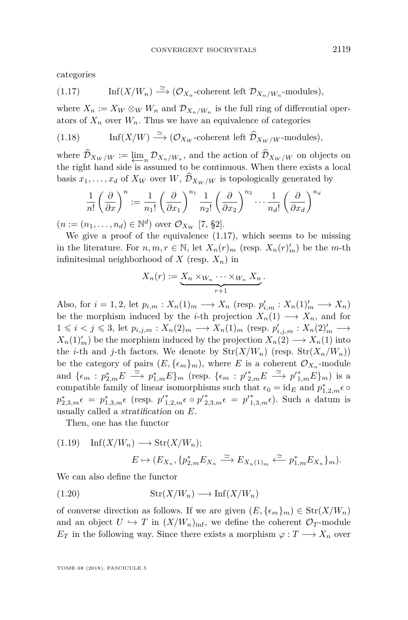categories

<span id="page-11-0"></span>(1.17) 
$$
\text{Inf}(X/W_n) \xrightarrow{\simeq} (\mathcal{O}_{X_n}\text{-coherent left }\mathcal{D}_{X_n/W_n}\text{-modules}),
$$

where  $X_n := X_W \otimes_W W_n$  and  $\mathcal{D}_{X_n/W_n}$  is the full ring of differential operators of  $X_n$  over  $W_n$ . Thus we have an equivalence of categories

<span id="page-11-3"></span>(1.18) 
$$
\text{Inf}(X/W) \xrightarrow{\simeq} (\mathcal{O}_{X_W}\text{-coherent left }\widehat{\mathcal{D}}_{X_W/W}\text{-modules}),
$$

where  $\mathcal{D}_{X_W/W} := \underleftarrow{\lim}_{n} \mathcal{D}_{X_n/W_n}$ , and the action of  $\mathcal{D}_{X_W/W}$  on objects on the right hand side is assumed to be continuous. When there exists a local basis  $x_1, \ldots, x_d$  of  $X_W$  over  $W$ ,  $\widehat{\mathcal{D}}_{X_W/W}$  is topologically generated by

$$
\frac{1}{n!} \left(\frac{\partial}{\partial x}\right)^n := \frac{1}{n_1!} \left(\frac{\partial}{\partial x_1}\right)^{n_1} \frac{1}{n_2!} \left(\frac{\partial}{\partial x_2}\right)^{n_2} \cdots \frac{1}{n_d!} \left(\frac{\partial}{\partial x_d}\right)^{n_d}
$$

 $(n := (n_1, \ldots, n_d) \in \mathbb{N}^d)$  over  $\mathcal{O}_{X_W}$  [\[7,](#page-38-4) §2].

We give a proof of the equivalence [\(1.17\)](#page-11-0), which seems to be missing in the literature. For  $n, m, r \in \mathbb{N}$ , let  $X_n(r)_m$  (resp.  $X_n(r)'_m$ ) be the *m*-th infinitesimal neighborhood of  $X$  (resp.  $X_n$ ) in

$$
X_n(r) := \underbrace{X_n \times_{W_n} \cdots \times_{W_n} X_n}_{r+1}.
$$

Also, for  $i = 1, 2$ , let  $p_{i,m}: X_n(1)_m \longrightarrow X_n$  (resp.  $p'_{i,m}: X_n(1)'_m \longrightarrow X_n$ ) be the morphism induced by the *i*-th projection  $X_n(1) \longrightarrow X_n$ , and for  $1 \leq i < j \leq 3$ , let  $p_{i,j,m}: X_n(2)_m \longrightarrow X_n(1)_m$  (resp.  $p'_{i,j,m}: X_n(2)'_m \longrightarrow$  $X_n(1)'_m$  be the morphism induced by the projection  $X_n(2) \longrightarrow X_n(1)$  into the *i*-th and *j*-th factors. We denote by  $\text{Str}(X/W_n)$  (resp.  $\text{Str}(X_n/W_n)$ ) be the category of pairs  $(E, {\{\epsilon_m\}}_m)$ , where *E* is a coherent  $\mathcal{O}_{X_n}$ -module and  $\{\epsilon_m : p_{2,m}^*E \longrightarrow p_{1,m}^*E\}_m$  (resp.  $\{\epsilon_m : p_{2,m}^*E \longrightarrow p_{1,m}^*E\}_m)$  is a compatible family of linear isomorphisms such that  $\epsilon_0 = id_E$  and  $p_{1,2,m}^* \epsilon$  $p_{2,3,m}^* \epsilon = p_{1,3,m}^* \epsilon \text{ (resp. } p'_{1,2,m}^* \epsilon \circ p'^*_{2,3,m} \epsilon = p'_{1,3,m}^* \epsilon \text{).}$  Such a datum is usually called a stratification on *E*.

Then, one has the functor

<span id="page-11-2"></span>
$$
(1.19) \quad \text{Inf}(X/W_n) \longrightarrow \text{Str}(X/W_n);
$$

$$
E \mapsto (E_{X_n}, \{p_{2,m}^* E_{X_n} \xrightarrow{\simeq} E_{X_n(1)_m} \xleftarrow{\simeq} p_{1,m}^* E_{X_n}\}_m).
$$

We can also define the functor

<span id="page-11-1"></span>(1.20) Str(*X/Wn*) −→ Inf(*X/Wn*)

of converse direction as follows. If we are given  $(E, {\{\epsilon_m\}}_m) \in Str(X/W_n)$ and an object  $U \hookrightarrow T$  in  $(X/W_n)_{\text{inf}}$ , we define the coherent  $\mathcal{O}_T$ -module *E*<sup>*T*</sup> in the following way. Since there exists a morphism  $\varphi : T \longrightarrow X_n$  over

TOME 68 (2018), FASCICULE 5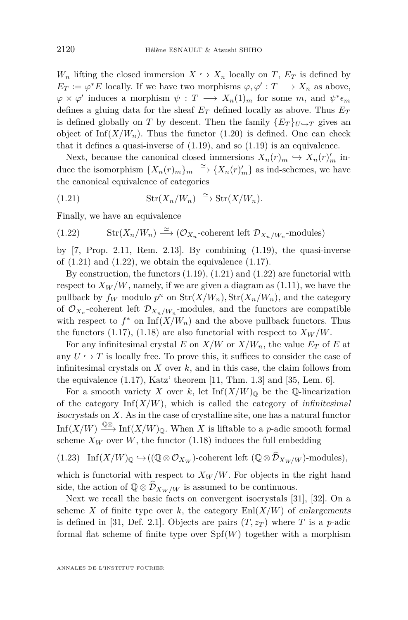*W<sub>n</sub>* lifting the closed immersion  $X \hookrightarrow X_n$  locally on *T*,  $E_T$  is defined by  $E_T := \varphi^* E$  locally. If we have two morphisms  $\varphi, \varphi' : T \longrightarrow X_n$  as above,  $\varphi \times \varphi'$  induces a morphism  $\psi : T \longrightarrow X_n(1)_m$  for some  $m$ , and  $\psi^* \epsilon_m$ defines a gluing data for the sheaf  $E_T$  defined locally as above. Thus  $E_T$ is defined globally on *T* by descent. Then the family  $\{E_T\}_{U \hookrightarrow T}$  gives an object of  $\text{Inf}(X/W_n)$ . Thus the functor [\(1.20\)](#page-11-1) is defined. One can check that it defines a quasi-inverse of  $(1.19)$ , and so  $(1.19)$  is an equivalence.

Next, because the canonical closed immersions  $X_n(r)_m \hookrightarrow X_n(r)'_m$  induce the isomorphism  $\{X_n(r)_m\}_m \stackrel{\simeq}{\longrightarrow} \{X_n(r)'_m\}$  as ind-schemes, we have the canonical equivalence of categories

<span id="page-12-0"></span>(1.21) Str(*Xn/Wn*) '−→ Str(*X/Wn*)*.*

Finally, we have an equivalence

<span id="page-12-1"></span>(1.22) 
$$
\operatorname{Str}(X_n/W_n) \stackrel{\simeq}{\longrightarrow} (\mathcal{O}_{X_n}\text{-coherent left }\mathcal{D}_{X_n/W_n}\text{-modules})
$$

by  $[7, Prop. 2.11, Rem. 2.13]$  $[7, Prop. 2.11, Rem. 2.13]$ . By combining  $(1.19)$ , the quasi-inverse of  $(1.21)$  and  $(1.22)$ , we obtain the equivalence  $(1.17)$ .

By construction, the functors  $(1.19)$ ,  $(1.21)$  and  $(1.22)$  are functorial with respect to  $X_W/W$ , namely, if we are given a diagram as  $(1.11)$ , we have the pullback by  $f_W$  modulo  $p^n$  on  $\text{Str}(X/W_n)$ ,  $\text{Str}(X_n/W_n)$ , and the category of  $\mathcal{O}_{X_n}$ -coherent left  $\mathcal{D}_{X_n/W_n}$ -modules, and the functors are compatible with respect to  $f^*$  on  $\text{Inf}(X/W_n)$  and the above pullback functors. Thus the functors [\(1.17\)](#page-11-0), [\(1.18\)](#page-11-3) are also functorial with respect to  $X_W/W$ .

For any infinitesimal crystal  $E$  on  $X/W$  or  $X/W_n$ , the value  $E_T$  of  $E$  at any  $U \hookrightarrow T$  is locally free. To prove this, it suffices to consider the case of infinitesimal crystals on *X* over *k*, and in this case, the claim follows from the equivalence  $(1.17)$ , Katz' theorem  $[11, Thm. 1.3]$  $[11, Thm. 1.3]$  and  $[35, Lem. 6]$  $[35, Lem. 6]$ .

For a smooth variety *X* over *k*, let  $\text{Inf}(X/W)_{\mathbb{Q}}$  be the  $\mathbb{Q}\text{-linearization}$ of the category  $\text{Inf}(X/W)$ , which is called the category of infinitesimal isocrystals on *X*. As in the case of crystalline site, one has a natural functor Inf(*X/W*)  $\stackrel{\mathbb{Q}\otimes}{\longrightarrow}$  Inf(*X/W*)<sub>Q</sub>. When *X* is liftable to a *p*-adic smooth formal scheme  $X_W$  over W, the functor  $(1.18)$  induces the full embedding

<span id="page-12-2"></span>(1.23) Inf
$$
(X/W)_{\mathbb{Q}} \hookrightarrow ((\mathbb{Q} \otimes \mathcal{O}_{X_W})
$$
-coherent left  $(\mathbb{Q} \otimes \widehat{\mathcal{D}}_{X_W/W})$ -modules),

which is functorial with respect to  $X_W/W$ . For objects in the right hand side, the action of  $\mathbb{Q} \otimes \widehat{\mathcal{D}}_{X_W/W}$  is assumed to be continuous.

Next we recall the basic facts on convergent isocrystals [\[31\]](#page-39-3), [\[32\]](#page-39-9). On a scheme *X* of finite type over *k*, the category  $\text{Enl}(X/W)$  of enlargements is defined in [\[31,](#page-39-3) Def. 2.1]. Objects are pairs  $(T, z_T)$  where *T* is a *p*-adic formal flat scheme of finite type over  $Spf(W)$  together with a morphism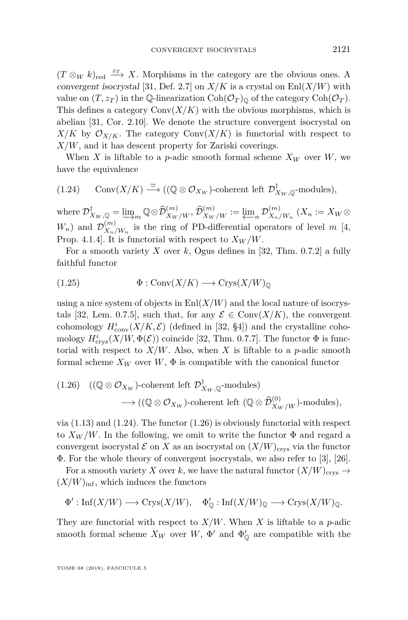$(T \otimes_W k)_{\text{red}} \xrightarrow{z_T} X$ . Morphisms in the category are the obvious ones. A convergent isocrystal [\[31,](#page-39-3) Def. 2.7] on  $X/K$  is a crystal on  $\text{Enl}(X/W)$  with value on  $(T, z_T)$  in the Q-linearization  $\text{Coh}(\mathcal{O}_T)_{\mathbb{Q}}$  of the category  $\text{Coh}(\mathcal{O}_T)$ . This defines a category  $Conv(X/K)$  with the obvious morphisms, which is abelian [\[31,](#page-39-3) Cor. 2.10]. We denote the structure convergent isocrystal on  $X/K$  by  $\mathcal{O}_{X/K}$ . The category  $Conv(X/K)$  is functorial with respect to *X/W*, and it has descent property for Zariski coverings.

When *X* is liftable to a *p*-adic smooth formal scheme  $X_W$  over *W*, we have the equivalence

<span id="page-13-0"></span>(1.24) Conv
$$
(X/K) \xrightarrow{\simeq} ((\mathbb{Q} \otimes \mathcal{O}_{X_W})
$$
-coherent left  $\mathcal{D}_{X_W, \mathbb{Q}}^{\dagger}$ -modules),

 $\text{where } \mathcal{D}_{X_W, \mathbb{Q}}^{\dagger} = \underline{\lim}_m \mathbb{Q} \otimes \widehat{\mathcal{D}}_{X_W/W}^{(m)}, \widehat{\mathcal{D}}_{X_W/W}^{(m)} := \underline{\lim}_n \mathcal{D}_{X_n/K}^{(m)}$  $X_n/W_n$  (*X*<sup>n</sup> := *XW* ⊗  $W_n$ ) and  $\mathcal{D}_{X_n}^{(m)}$  $X_n/W_n$  is the ring of PD-differential operators of level *m* [\[4,](#page-38-6) Prop. 4.1.4. It is functorial with respect to  $X_W/W$ .

For a smooth variety  $X$  over  $k$ , Ogus defines in [\[32,](#page-39-9) Thm. 0.7.2] a fully faithful functor

<span id="page-13-2"></span>(1.25) Φ : Conv(*X/K*) −→ Crys(*X/W*)<sup>Q</sup>

using a nice system of objects in  $\text{Enl}(X/W)$  and the local nature of isocrys-tals [\[32,](#page-39-9) Lem. 0.7.5], such that, for any  $\mathcal{E} \in \text{Conv}(X/K)$ , the convergent cohomology  $H^i_{\text{conv}}(X/K,\mathcal{E})$  (defined in [\[32,](#page-39-9) §4]) and the crystalline cohomology  $H^i_{\text{crys}}(X/W, \Phi(\mathcal{E}))$  coincide [\[32,](#page-39-9) Thm. 0.7.7]. The functor  $\Phi$  is functorial with respect to  $X/W$ . Also, when X is liftable to a *p*-adic smooth formal scheme  $X_W$  over  $W$ ,  $\Phi$  is compatible with the canonical functor

<span id="page-13-1"></span>(1.26) 
$$
((\mathbb{Q} \otimes \mathcal{O}_{X_W})
$$
-coherent left  $\mathcal{D}_{X_W, \mathbb{Q}}^{\dagger}$ -modules)  
 $\longrightarrow ((\mathbb{Q} \otimes \mathcal{O}_{X_W})$ -coherent left  $(\mathbb{Q} \otimes \widehat{\mathcal{D}}_{X_W/W}^{(0)})$ -modules),

via  $(1.13)$  and  $(1.24)$ . The functor  $(1.26)$  is obviously functorial with respect to  $X_W/W$ . In the following, we omit to write the functor  $\Phi$  and regard a convergent isocrystal  $\mathcal E$  on *X* as an isocrystal on  $(X/W)_{\text{crys}}$  via the functor Φ. For the whole theory of convergent isocrystals, we also refer to [\[3\]](#page-38-7), [\[26\]](#page-39-10).

For a smooth variety *X* over *k*, we have the natural functor  $(X/W)_{\text{crys}} \rightarrow$  $(X/W)_{\text{inf}}$ , which induces the functors

$$
\Phi': \text{Inf}(X/W) \longrightarrow \text{Crys}(X/W), \quad \Phi'_{\mathbb{Q}}: \text{Inf}(X/W)_{\mathbb{Q}} \longrightarrow \text{Crys}(X/W)_{\mathbb{Q}}.
$$

They are functorial with respect to  $X/W$ . When X is liftable to a *p*-adic smooth formal scheme  $X_W$  over  $W$ ,  $\Phi'$  and  $\Phi'_{\mathbb{O}}$  are compatible with the

TOME 68 (2018), FASCICULE 5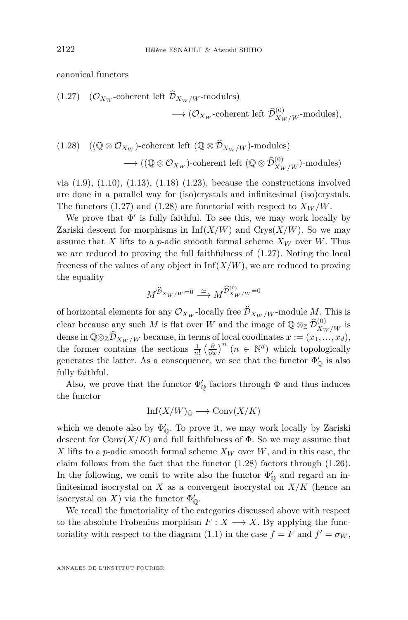canonical functors

<span id="page-14-0"></span>(1.27) 
$$
(\mathcal{O}_{X_W}
$$
-coherent left  $\widehat{\mathcal{D}}_{X_W/W}$ -modules)  
 $\longrightarrow (\mathcal{O}_{X_W}$ -coherent left  $\widehat{\mathcal{D}}_{X_W/W}^{(0)}$ -modules),

<span id="page-14-1"></span>(1.28) 
$$
((\mathbb{Q} \otimes \mathcal{O}_{X_W})
$$
-coherent left  $(\mathbb{Q} \otimes \widehat{\mathcal{D}}_{X_W/W})$ -modules)  
 $\longrightarrow ((\mathbb{Q} \otimes \mathcal{O}_{X_W})$ -coherent left  $(\mathbb{Q} \otimes \widehat{\mathcal{D}}_{X_W/W}^{(0)})$ -modules)

via  $(1.9)$ ,  $(1.10)$ ,  $(1.13)$ ,  $(1.18)$   $(1.23)$ , because the constructions involved are done in a parallel way for (iso)crystals and infinitesimal (iso)crystals. The functors  $(1.27)$  and  $(1.28)$  are functorial with respect to  $X_W/W$ .

We prove that  $\Phi'$  is fully faithful. To see this, we may work locally by Zariski descent for morphisms in  $Inf(X/W)$  and  $Crys(X/W)$ . So we may assume that *X* lifts to a *p*-adic smooth formal scheme  $X_W$  over *W*. Thus we are reduced to proving the full faithfulness of [\(1.27\)](#page-14-0). Noting the local freeness of the values of any object in  $\text{Inf}(X/W)$ , we are reduced to proving the equality

$$
M^{\widehat{\mathcal{D}}_{X_W/W}=0} \stackrel{\simeq}{\longrightarrow} M^{\widehat{\mathcal{D}}_{X_W/W}^{(0)}} = 0
$$

of horizontal elements for any  $\mathcal{O}_{X_W}$ -locally free  $\widehat{\mathcal{D}}_{X_W/W}$ -module M. This is clear because any such *M* is flat over *W* and the image of  $\mathbb{Q} \otimes_{\mathbb{Z}} \widehat{\mathcal{D}}_{X_W/W}^{(0)}$  is dense in  $\mathbb{Q} \otimes_{\mathbb{Z}} \widehat{\mathcal{D}}_{X_W/W}$  because, in terms of local coodinates  $x := (x_1, \ldots, x_d)$ , the former contains the sections  $\frac{1}{n!} \left(\frac{\partial}{\partial x}\right)^n$   $(n \in \mathbb{N}^d)$  which topologically generates the latter. As a consequence, we see that the functor  $\Phi'_{\mathbb{O}}$  is also fully faithful.

Also, we prove that the functor  $\Phi'_{\mathcal{O}}$  factors through  $\Phi$  and thus induces the functor

$$
Inf(X/W)_{\mathbb{Q}} \longrightarrow Conv(X/K)
$$

which we denote also by  $\Phi'_{\mathbb{O}}$ . To prove it, we may work locally by Zariski descent for  $Conv(X/K)$  and full faithfulness of  $\Phi$ . So we may assume that *X* lifts to a *p*-adic smooth formal scheme  $X_W$  over  $W$ , and in this case, the claim follows from the fact that the functor  $(1.28)$  factors through  $(1.26)$ . In the following, we omit to write also the functor  $\Phi'_{\mathbb{O}}$  and regard an infinitesimal isocrystal on  $X$  as a convergent isocrystal on  $X/K$  (hence an isocrystal on *X*) via the functor  $\Phi'_{\mathbb{Q}}$ .

We recall the functoriality of the categories discussed above with respect to the absolute Frobenius morphism  $F: X \longrightarrow X$ . By applying the func-toriality with respect to the diagram [\(1.1\)](#page-6-1) in the case  $f = F$  and  $f' = \sigma_W$ ,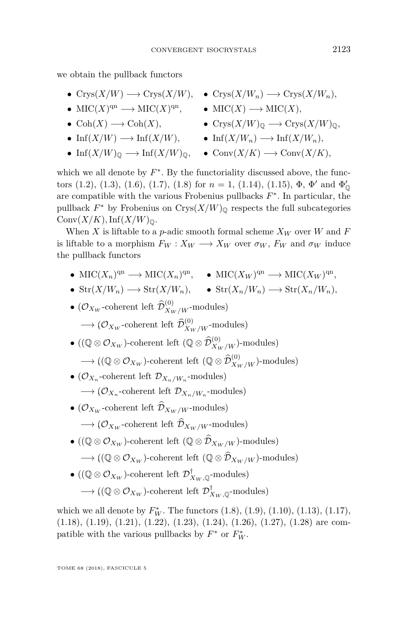we obtain the pullback functors

- $Crys(X/W) \longrightarrow Crys(X/W)$ ,  $Crys(X/W_n) \longrightarrow Crys(X/W_n)$ ,
- MIC(*X*)<sup>qn</sup> → MIC(*X*)<sup>qn</sup>, MIC(*X*) → MIC(*X*),
- 
- 
- 
- 
- 
- $\text{Coh}(X) \longrightarrow \text{Coh}(X)$ ,  $\text{Crys}(X/W)$ <sub>0</sub>  $\longrightarrow \text{Crys}(X/W)$ <sub>0</sub>.
- $\text{Inf}(X/W) \longrightarrow \text{Inf}(X/W),$   $\text{Inf}(X/W_n) \longrightarrow \text{Inf}(X/W_n),$
- $\text{Inf}(X/W)_{\mathbb{O}} \longrightarrow \text{Inf}(X/W)_{\mathbb{O}}$ ,  $\text{Conv}(X/K) \longrightarrow \text{Conv}(X/K)$ ,

which we all denote by  $F^*$ . By the functoriality discussed above, the func-tors [\(1.2\)](#page-6-0), [\(1.3\)](#page-7-0), [\(1.6\)](#page-7-4), [\(1.7\)](#page-7-3), [\(1.8\)](#page-8-2) for  $n = 1$ , [\(1.14\)](#page-10-0), [\(1.15\)](#page-10-1),  $\Phi$ ,  $\Phi'$  and  $\Phi'_{\mathbb{Q}}$ are compatible with the various Frobenius pullbacks *F* ∗ . In particular, the pullback  $F^*$  by Frobenius on Crys $(X/W)$ <sub>Q</sub> respects the full subcategories  $Conv(X/K)$ , Inf $(X/W)_{\mathbb{Q}}$ .

When *X* is liftable to a *p*-adic smooth formal scheme  $X_W$  over *W* and *F* is liftable to a morphism  $F_W : X_W \longrightarrow X_W$  over  $\sigma_W$ ,  $F_W$  and  $\sigma_W$  induce the pullback functors

• MIC( $X_n$ )<sup>qn</sup> → MIC( $X_n$ )<sup>qn</sup>, • MIC( $X_W$ )<sup>qn</sup> → MIC( $X_W$ )<sup>qn</sup>,

• 
$$
\text{Str}(X/W_n) \longrightarrow \text{Str}(X/W_n)
$$
,   
•  $\text{Str}(X_n/W_n) \longrightarrow \text{Str}(X_n/W_n)$ ,

• ( $\mathcal{O}_{X_W}$ -coherent left  $\widehat{\mathcal{D}}_{X_W/W}^{(0)}$ -modules)  $\longrightarrow$  ( $\mathcal{O}_{X_W}$ -coherent left  $\widehat{\mathcal{D}}_{X_W/W}^{(0)}$ -modules)

- ( $(\mathbb{Q} \otimes \mathcal{O}_{X_W})$ -coherent left  $(\mathbb{Q} \otimes \widehat{\mathcal{D}}_{X_W/W}^{(0)})$ -modules)  $\longrightarrow ((\mathbb{Q} \otimes \mathcal{O}_{X_W})$ -coherent left  $(\mathbb{Q} \otimes \widehat{\mathcal{D}}_{X_W/W}^{(0)})$ -modules)
- ( $\mathcal{O}_{X_n}$ -coherent left  $\mathcal{D}_{X_n/W_n}$ -modules)  $\longrightarrow (\mathcal{O}_{X_n}$ -coherent left  $\mathcal{D}_{X_n/W_n}$ -modules)
- $(\mathcal{O}_{X_W}$ -coherent left  $\widehat{\mathcal{D}}_{X_W/W}$ -modules)  $\longrightarrow$  ( $\mathcal{O}_{X_W}$ -coherent left  $\widehat{\mathcal{D}}_{X_W/W}$ -modules)
- ( $(\mathbb{Q} \otimes \mathcal{O}_{X_W})$ -coherent left  $(\mathbb{Q} \otimes \widehat{\mathcal{D}}_{X_W/W})$ -modules)  $\longrightarrow ((\mathbb{Q} \otimes \mathcal{O}_{X_W})$ -coherent left  $(\mathbb{Q} \otimes \widehat{\mathcal{D}}_{X_W/W})$ -modules)
- $\bullet$  ((Q  $\otimes$   $\mathcal{O}_{X_W}$ )-coherent left  $\mathcal{D}_{X_W, \mathbb{Q}}^\dagger\text{-modules})$ →  $((\mathbb{Q} \otimes \mathcal{O}_{X_W})$ -coherent left  $\mathcal{D}_{X_W, \mathbb{Q}}^{\dagger}$ -modules)

which we all denote by  $F_W^*$ . The functors  $(1.8)$ ,  $(1.9)$ ,  $(1.10)$ ,  $(1.13)$ ,  $(1.17)$ , [\(1.18\)](#page-11-3), [\(1.19\)](#page-11-2), [\(1.21\)](#page-12-0), [\(1.22\)](#page-12-1), [\(1.23\)](#page-12-2), [\(1.24\)](#page-13-0), [\(1.26\)](#page-13-1), [\(1.27\)](#page-14-0), [\(1.28\)](#page-14-1) are compatible with the various pullbacks by  $F^*$  or  $F^*_{W}$ .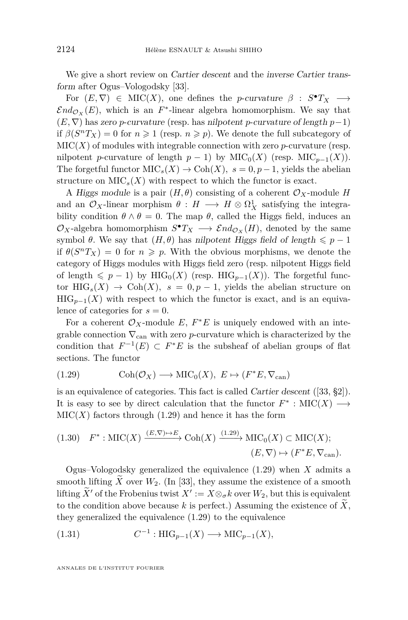We give a short review on Cartier descent and the inverse Cartier transform after Ogus–Vologodsky [\[33\]](#page-39-11).

For  $(E, \nabla) \in \text{MIC}(X)$ , one defines the *p*-curvature  $\beta : S^{\bullet}T_X \longrightarrow$  $\mathcal{E}nd_{\mathcal{O}_X}(E)$ , which is an  $F^*$ -linear algebra homomorphism. We say that (*E,* ∇) has zero *p*-curvature (resp. has nilpotent *p*-curvature of length *p*−1) if  $\beta(S^nT_X) = 0$  for  $n \ge 1$  (resp.  $n \ge p$ ). We denote the full subcategory of  $MIC(X)$  of modules with integrable connection with zero *p*-curvature (resp. nilpotent *p*-curvature of length  $p-1$ ) by MIC<sub>0</sub>(*X*) (resp. MIC<sub>*p*−1</sub>(*X*)). The forgetful functor  $MIC_s(X) \to \text{Coh}(X)$ ,  $s = 0, p - 1$ , yields the abelian structure on  $\mathrm{MIC}_s(X)$  with respect to which the functor is exact.

A Higgs module is a pair  $(H, \theta)$  consisting of a coherent  $\mathcal{O}_X$ -module *H* and an  $\mathcal{O}_X$ -linear morphism  $\theta : H \longrightarrow H \otimes \Omega^1_X$  satisfying the integrability condition  $\theta \wedge \theta = 0$ . The map  $\theta$ , called the Higgs field, induces an  $\mathcal{O}_X$ -algebra homomorphism  $S^{\bullet}T_X \longrightarrow \mathcal{E}nd_{\mathcal{O}_X}(H)$ , denoted by the same symbol  $\theta$ . We say that  $(H, \theta)$  has nilpotent Higgs field of length  $\leq p - 1$ if  $\theta(S^nT_X) = 0$  for  $n \geq p$ . With the obvious morphisms, we denote the category of Higgs modules with Higgs field zero (resp. nilpotent Higgs field of length  $\leq p - 1$ ) by HIG<sub>0</sub>(*X*) (resp. HIG<sub>*p*−1</sub>(*X*)). The forgetful functor  $\text{HIG}_s(X) \to \text{Coh}(X)$ ,  $s = 0, p-1$ , yields the abelian structure on  $HIG_{p-1}(X)$  with respect to which the functor is exact, and is an equivalence of categories for  $s = 0$ .

For a coherent  $\mathcal{O}_X$ -module  $E, F^*E$  is uniquely endowed with an integrable connection  $\nabla_{\text{can}}$  with zero *p*-curvature which is characterized by the condition that  $F^{-1}(E) \subset F^*E$  is the subsheaf of abelian groups of flat sections. The functor

<span id="page-16-0"></span>(1.29) 
$$
\text{Coh}(\mathcal{O}_X) \longrightarrow \text{MIC}_0(X), \ E \mapsto (F^*E, \nabla_{\text{can}})
$$

is an equivalence of categories. This fact is called Cartier descent ([\[33,](#page-39-11) §2]). It is easy to see by direct calculation that the functor  $F^*$ : MIC(*X*)  $\longrightarrow$  $\text{MIC}(X)$  factors through  $(1.29)$  and hence it has the form

<span id="page-16-1"></span>(1.30) 
$$
F^* : \text{MIC}(X) \xrightarrow{(E,\nabla) \mapsto E} \text{Coh}(X) \xrightarrow{(1.29)} \text{MIC}_0(X) \subset \text{MIC}(X);
$$
  
\n $(E,\nabla) \mapsto (F^*E,\nabla_{\text{can}}).$ 

Ogus–Vologodsky generalized the equivalence [\(1.29\)](#page-16-0) when *X* admits a smooth lifting  $\bar{X}$  over  $W_2$ . (In [\[33\]](#page-39-11), they assume the existence of a smooth lifting  $\widetilde{X}$  of the Frobenius twist  $X' := X \otimes_{\sigma} k$  over  $W_2$ , but this is equivalent to the condition above because  $k$  is perfect.) Assuming the existence of  $X$ , they generalized the equivalence [\(1.29\)](#page-16-0) to the equivalence

$$
(1.31) \tC-1: \tHIG_{p-1}(X) \longrightarrow \mathrm{MIC}_{p-1}(X),
$$

ANNALES DE L'INSTITUT FOURIER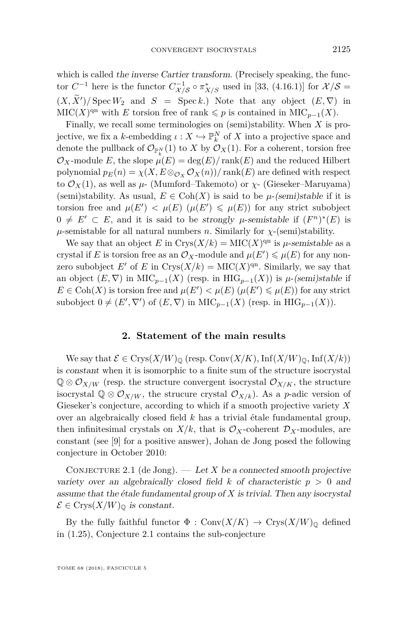which is called the inverse Cartier transform. (Precisely speaking, the functor  $C^{-1}$  here is the functor  $C^{-1}_{\mathcal{X}/\mathcal{S}} \circ \pi^*_{X/S}$  used in [\[33,](#page-39-11) (4.16.1)] for  $\mathcal{X}/\mathcal{S} =$  $(X, X')$ /Spec  $W_2$  and  $S = \text{Spec } k$ .) Note that any object  $(E, \nabla)$  in  $\mathrm{MIC}(X)^{\mathrm{qn}}$  with *E* torsion free of rank  $\leqslant p$  is contained in  $\mathrm{MIC}_{p-1}(X)$ .

Finally, we recall some terminologies on (semi)stability. When *X* is projective, we fix a *k*-embedding  $\iota : X \hookrightarrow \mathbb{P}_{k}^{N}$  of *X* into a projective space and denote the pullback of  $\mathcal{O}_{\mathbb{P}_p^N}(1)$  to *X* by  $\mathcal{O}_X(1)$ . For a coherent, torsion free  $\mathcal{O}_X$ -module *E*, the slope  $\mu(E) = \deg(E)/\text{rank}(E)$  and the reduced Hilbert polynomial  $p_E(n) = \chi(X, E \otimes_{\mathcal{O}_X} \mathcal{O}_X(n))/\text{rank}(E)$  are defined with respect to  $\mathcal{O}_X(1)$ , as well as  $\mu$ - (Mumford–Takemoto) or  $\chi$ - (Gieseker–Maruyama) (semi)stability. As usual,  $E \in \text{Coh}(X)$  is said to be  $\mu$ -(semi)stable if it is torsion free and  $\mu(E') < \mu(E)$  ( $\mu(E') \leq \mu(E)$ ) for any strict subobject 0  $\neq$  *E'* ⊂ *E*, and it is said to be strongly *µ*-semistable if  $(F^n)^*(E)$  is  $\mu$ -semistable for all natural numbers *n*. Similarly for *χ*-(semi)stability.

We say that an object *E* in  $Crys(X/k) = \text{MIC}(X)^{qn}$  is *µ*-semistable as a crystal if *E* is torsion free as an  $\mathcal{O}_X$ -module and  $\mu(E') \leq \mu(E)$  for any nonzero subobject *E'* of *E* in  $Crys(X/k) = \text{MIC}(X)^{\text{qn}}$ . Similarly, we say that an object  $(E, \nabla)$  in MIC<sub>*p*−1</sub>(*X*) (resp. in HIG<sub>*p*−1</sub>(*X*)) is *µ*-(semi)stable if  $E \in \text{Coh}(X)$  is torsion free and  $\mu(E') < \mu(E)$  ( $\mu(E') \leq \mu(E)$ ) for any strict subobject  $0 \neq (E', \nabla')$  of  $(E, \nabla)$  in MIC<sub>*p*−1</sub>(*X*) (resp. in HIG<sub>*p*−1</sub>(*X*)).

#### **2. Statement of the main results**

We say that  $\mathcal{E} \in \text{Crys}(X/W)_{\mathbb{Q}}$  (resp.  $\text{Conv}(X/K)$ ,  $\text{Inf}(X/W)_{\mathbb{Q}}$ ,  $\text{Inf}(X/k)$ ) is constant when it is isomorphic to a finite sum of the structure isocrystal  $\mathbb{Q} \otimes \mathcal{O}_{X/W}$  (resp. the structure convergent isocrystal  $\mathcal{O}_{X/K}$ , the structure isocrystal  $\mathbb{Q} \otimes \mathcal{O}_{X/W}$ , the strucure crystal  $\mathcal{O}_{X/k}$ ). As a *p*-adic version of Gieseker's conjecture, according to which if a smooth projective variety *X* over an algebraically closed field *k* has a trivial étale fundamental group, then infinitesimal crystals on  $X/k$ , that is  $\mathcal{O}_X$ -coherent  $\mathcal{D}_X$ -modules, are constant (see [\[9\]](#page-38-1) for a positive answer), Johan de Jong posed the following conjecture in October 2010:

<span id="page-17-0"></span>CONJECTURE 2.1 (de Jong).  $\qquad$  Let *X* be a connected smooth projective variety over an algebraically closed field  $k$  of characteristic  $p > 0$  and assume that the étale fundamental group of *X* is trivial. Then any isocrystal  $\mathcal{E} \in \mathrm{Crys}(X/W)_{\mathbb{Q}}$  is constant.

By the fully faithful functor  $\Phi : Conv(X/K) \to Crys(X/W)_{\mathbb{Q}}$  defined in [\(1.25\)](#page-13-2), Conjecture [2.1](#page-17-0) contains the sub-conjecture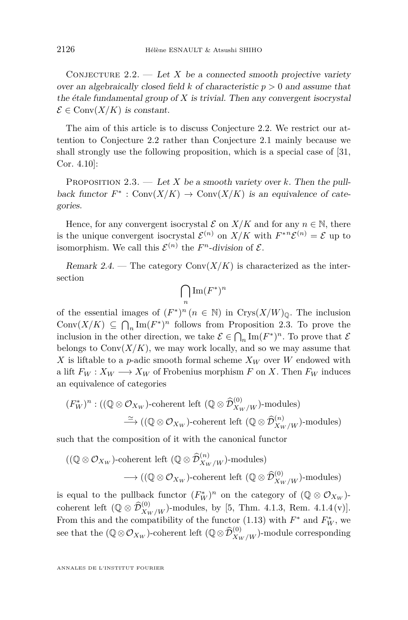<span id="page-18-0"></span>CONJECTURE  $2.2.$  — Let *X* be a connected smooth projective variety over an algebraically closed field  $k$  of characteristic  $p > 0$  and assume that the étale fundamental group of *X* is trivial. Then any convergent isocrystal  $\mathcal{E} \in \text{Conv}(X/K)$  is constant.

The aim of this article is to discuss Conjecture [2.2.](#page-18-0) We restrict our attention to Conjecture [2.2](#page-18-0) rather than Conjecture [2.1](#page-17-0) mainly because we shall strongly use the following proposition, which is a special case of [\[31,](#page-39-3) Cor. 4.10]:

<span id="page-18-1"></span>PROPOSITION 2.3. — Let *X* be a smooth variety over *k*. Then the pullback functor  $F^*$ : Conv $(X/K)$   $\to$  Conv $(X/K)$  is an equivalence of categories.

Hence, for any convergent isocrystal  $\mathcal E$  on  $X/K$  and for any  $n \in \mathbb N$ , there is the unique convergent isocrystal  $\mathcal{E}^{(n)}$  on  $X/K$  with  $F^{*n}\mathcal{E}^{(n)} = \mathcal{E}$  up to isomorphism. We call this  $\mathcal{E}^{(n)}$  the *F*<sup>*n*</sup>-division of  $\mathcal{E}$ .

Remark 2.4. — The category  $Conv(X/K)$  is characterized as the intersection

$$
\bigcap_n \operatorname{Im}(F^\ast)^n
$$

of the essential images of  $(F^*)^n$  ( $n \in \mathbb{N}$ ) in Crys $(X/W)_{\mathbb{Q}}$ . The inclusion Conv $(X/K) \subseteq \bigcap_n \text{Im}(F^*)^n$  follows from Proposition [2.3.](#page-18-1) To prove the inclusion in the other direction, we take  $\mathcal{E} \in \bigcap_n \text{Im}(F^*)^n$ . To prove that  $\mathcal{E}$ belongs to  $Conv(X/K)$ , we may work locally, and so we may assume that X is liftable to a *p*-adic smooth formal scheme  $X_W$  over W endowed with a lift  $F_W: X_W \longrightarrow X_W$  of Frobenius morphism *F* on *X*. Then  $F_W$  induces an equivalence of categories

$$
(F_W^*)^n : ((\mathbb{Q} \otimes \mathcal{O}_{X_W})\text{-coherent left } (\mathbb{Q} \otimes \widehat{\mathcal{D}}_{X_W/W}^{(0)})\text{-modules})
$$
  

$$
\xrightarrow{\simeq} ((\mathbb{Q} \otimes \mathcal{O}_{X_W})\text{-coherent left } (\mathbb{Q} \otimes \widehat{\mathcal{D}}_{X_W/W}^{(n)})\text{-modules})
$$

such that the composition of it with the canonical functor

$$
((\mathbb{Q}\otimes\mathcal{O}_{X_W})\text{-coherent left }(\mathbb{Q}\otimes\widehat{\mathcal{D}}_{X_W/W}^{(n)})\text{-modules})\longrightarrow ((\mathbb{Q}\otimes\mathcal{O}_{X_W})\text{-coherent left }(\mathbb{Q}\otimes\widehat{\mathcal{D}}_{X_W/W}^{(0)})\text{-modules})
$$

is equal to the pullback functor  $(F_W^*)^n$  on the category of  $(\mathbb{Q} \otimes \mathcal{O}_{X_W})$ coherent left  $(\mathbb{Q} \otimes \widehat{\mathcal{D}}_{X_W/W}^{(0)})$ -modules, by [\[5,](#page-38-8) Thm. 4.1.3, Rem. 4.1.4(v)]. From this and the compatibility of the functor [\(1.13\)](#page-9-0) with  $F^*$  and  $F^*_{W}$ , we see that the  $(\mathbb{Q} \otimes \mathcal{O}_{X_W})$ -coherent left  $(\mathbb{Q} \otimes \widehat{\mathcal{D}}_{X_W/W}^{(0)})$ -module corresponding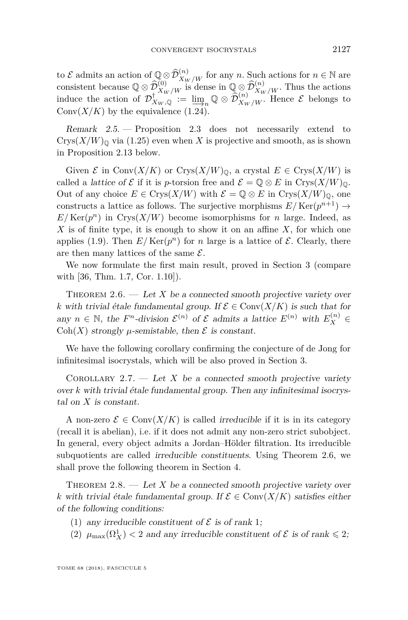to E admits an action of  $\mathbb{Q} \otimes \widehat{\mathcal{D}}_{X_W/W}^{(n)}$  for any *n*. Such actions for  $n \in \mathbb{N}$  are consistent because  $\mathbb{Q} \otimes \widehat{\mathcal{D}}_{X_W/W}^{(0)}$  is dense in  $\mathbb{Q} \otimes \widehat{\mathcal{D}}_{X_W/W}^{(n)}$ . Thus the actions induce the action of  $\mathcal{D}^{\dagger}_{X_W}$  :=  $\lim_{\epsilon \to 0} \mathbb{Q} \otimes \widehat{\mathcal{D}}_{X_W/W}^{(n)}$ . Hence  $\mathcal{E}$  belongs to Conv $(X/K)$  by the equivalence  $(1.24)$ .

<span id="page-19-5"></span>Remark  $2.5.$  – Proposition [2.3](#page-18-1) does not necessarily extend to  $Crys(X/W)_\mathbb{Q}$  via [\(1.25\)](#page-13-2) even when X is projective and smooth, as is shown in Proposition [2.13](#page-23-0) below.

Given  $\mathcal E$  in Conv $(X/K)$  or Crys $(X/W)_{\mathbb Q}$ , a crystal  $E \in Crys(X/W)$  is called a *lattice of*  $\mathcal E$  if it is *p*-torsion free and  $\mathcal E = \mathbb Q \otimes E$  in Crys $(X/W)_{\mathbb Q}$ . Out of any choice  $E \in \text{Crys}(X/W)$  with  $\mathcal{E} = \mathbb{Q} \otimes E$  in  $\text{Crys}(X/W)_{\mathbb{Q}}$ , one constructs a lattice as follows. The surjective morphisms  $E/Ker(p^{n+1}) \to$  $E/Ker(p^n)$  in Crys $(X/W)$  become isomorphisms for *n* large. Indeed, as *X* is of finite type, it is enough to show it on an affine *X*, for which one applies [\(1.9\)](#page-8-0). Then  $E/Ker(p^n)$  for *n* large is a lattice of  $\mathcal{E}$ . Clearly, there are then many lattices of the same  $\mathcal{E}$ .

We now formulate the first main result, proved in Section [3](#page-23-1) (compare with [\[36,](#page-40-0) Thm. 1.7, Cor. 1.10]).

<span id="page-19-3"></span>THEOREM  $2.6.$  — Let *X* be a connected smooth projective variety over *k* with trivial étale fundamental group. If  $\mathcal{E} \in \text{Conv}(X/K)$  is such that for any  $n \in \mathbb{N}$ , the  $F^n$ -division  $\mathcal{E}^{(n)}$  of  $\mathcal{E}$  admits a lattice  $E^{(n)}$  with  $E_X^{(n)} \in$ Coh(*X*) strongly  $\mu$ -semistable, then  $\mathcal E$  is constant.

We have the following corollary confirming the conjecture of de Jong for infinitesimal isocrystals, which will be also proved in Section [3.](#page-23-1)

<span id="page-19-4"></span>COROLLARY 2.7. — Let X be a connected smooth projective variety over *k* with trivial étale fundamental group. Then any infinitesimal isocrystal on *X* is constant.

A non-zero  $\mathcal{E} \in \text{Conv}(X/K)$  is called *irreducible* if it is in its category (recall it is abelian), i.e. if it does not admit any non-zero strict subobject. In general, every object admits a Jordan–Hölder filtration. Its irreducible subquotients are called irreducible constituents. Using Theorem [2.6,](#page-19-3) we shall prove the following theorem in Section [4.](#page-33-1)

<span id="page-19-0"></span>THEOREM  $2.8.$  — Let X be a connected smooth projective variety over *k* with trivial étale fundamental group. If  $\mathcal{E} \in \text{Conv}(X/K)$  satisfies either of the following conditions:

- <span id="page-19-1"></span>(1) any irreducible constituent of  $\mathcal E$  is of rank 1;
- <span id="page-19-2"></span>(2)  $\mu_{\max}(\Omega^1_X) < 2$  and any irreducible constituent of  $\mathcal E$  is of rank  $\leq 2$ ;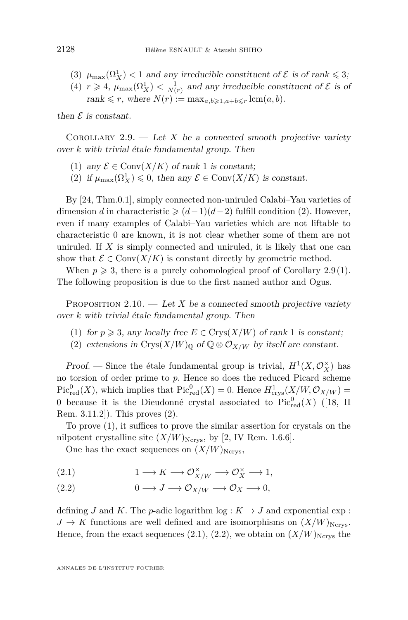- (3)  $\mu_{\max}(\Omega_X^1) < 1$  and any irreducible constituent of  $\mathcal E$  is of rank  $\leq 3$ ;
- (4)  $r \geq 4$ ,  $\mu_{\max}(\Omega_X^1) < \frac{1}{N(r)}$  and any irreducible constituent of  $\mathcal E$  is of  $rank \leq r$ , where  $N(r) := \max_{a,b \geq 1, a+b \leq r} \text{lcm}(a, b)$ .

then  $\mathcal E$  is constant.

<span id="page-20-0"></span>COROLLARY 2.9. — Let *X* be a connected smooth projective variety over *k* with trivial étale fundamental group. Then

- <span id="page-20-2"></span>(1) any  $\mathcal{E} \in \text{Conv}(X/K)$  of rank 1 is constant;
- (2) if  $\mu_{\max}(\Omega^1_X) \leq 0$ , then any  $\mathcal{E} \in \text{Conv}(X/K)$  is constant.

By [\[24,](#page-39-12) Thm.0.1], simply connected non-uniruled Calabi–Yau varieties of dimension *d* in characteristic  $\geq (d-1)(d-2)$  fulfill condition [\(2\)](#page-19-2). However, even if many examples of Calabi–Yau varieties which are not liftable to characteristic 0 are known, it is not clear whether some of them are not uniruled. If *X* is simply connected and uniruled, it is likely that one can show that  $\mathcal{E} \in \text{Conv}(X/K)$  is constant directly by geometric method.

When  $p \geq 3$ , there is a purely cohomological proof of Corollary [2.9\(](#page-20-0)[1\)](#page-20-2). The following proposition is due to the first named author and Ogus.

<span id="page-20-1"></span>PROPOSITION  $2.10.$  — Let X be a connected smooth projective variety over *k* with trivial étale fundamental group. Then

- <span id="page-20-4"></span>(1) for  $p \ge 3$ , any locally free  $E \in Crys(X/W)$  of rank 1 is constant;
- <span id="page-20-3"></span>(2) extensions in Crys $(X/W)_{\mathbb{Q}}$  of  $\mathbb{Q} \otimes \mathcal{O}_{X/W}$  by itself are constant.

*Proof.* — Since the étale fundamental group is trivial,  $H^1(X, \mathcal{O}_X^{\times})$  has no torsion of order prime to *p*. Hence so does the reduced Picard scheme  $Pic_{red}^{0}(X)$ , which implies that  $Pic_{red}^{0}(X) = 0$ . Hence  $H_{crys}^{1}(X/W, \mathcal{O}_{X/W}) =$ 0 because it is the Dieudonné crystal associated to  $Pic<sub>red</sub><sup>0</sup>(X)$  ([\[18,](#page-39-13) II Rem. 3.11.2]). This proves [\(2\)](#page-20-3).

To prove [\(1\)](#page-20-4), it suffices to prove the similar assertion for crystals on the nilpotent crystalline site  $(X/W)_{\text{Ncrys}}$ , by [\[2,](#page-38-5) IV Rem. 1.6.6].

One has the exact sequences on  $(X/W)_{\text{Ncrys}},$ 

<span id="page-20-5"></span> $1 \longrightarrow K \longrightarrow \mathcal{O}_{X/W}^{\times} \longrightarrow \mathcal{O}_{X}^{\times} \longrightarrow 1,$ 

<span id="page-20-6"></span>
$$
(2.2) \t 0 \t \to J \t \to \mathcal{O}_{X/W} \t \to \mathcal{O}_X \t \to 0,
$$

defining *J* and *K*. The *p*-adic logarithm log :  $K \to J$  and exponential exp :  $J \to K$  functions are well defined and are isomorphisms on  $(X/W)_{\text{Ncrys}}$ . Hence, from the exact sequences  $(2.1), (2.2)$  $(2.1), (2.2)$  $(2.1), (2.2)$ , we obtain on  $(X/W)_{\text{Ncrys}}$  the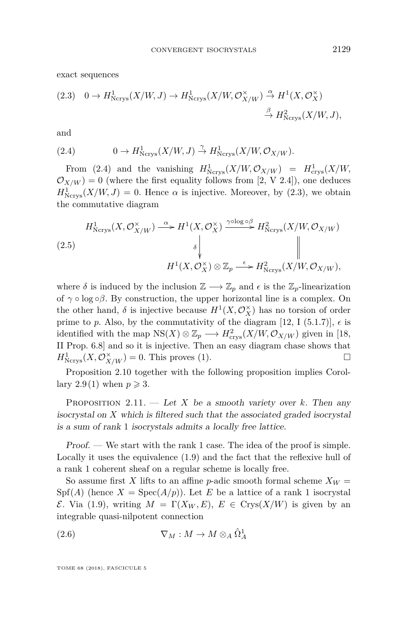exact sequences

<span id="page-21-1"></span>
$$
(2.3) \quad 0 \to H^1_{\text{Ncrys}}(X/W, J) \to H^1_{\text{Ncrys}}(X/W, \mathcal{O}_{X/W}^\times) \xrightarrow{\alpha} H^1(X, \mathcal{O}_X^\times) \\
\xrightarrow{\beta} H^2_{\text{Ncrys}}(X/W, J),
$$

and

<span id="page-21-0"></span>(2.4) 
$$
0 \to H^1_{\text{Ncrys}}(X/W, J) \overset{\gamma}{\to} H^1_{\text{Ncrys}}(X/W, \mathcal{O}_{X/W}).
$$

From [\(2.4\)](#page-21-0) and the vanishing  $H^1_{\text{Ncrys}}(X/W, \mathcal{O}_{X/W}) = H^1_{\text{crys}}(X/W,$  $\mathcal{O}_{X/W}$  = 0 (where the first equality follows from [\[2,](#page-38-5) V 2.4]), one deduces  $H^1_{\text{Ncrys}}(X/W, J) = 0$ . Hence  $\alpha$  is injective. Moreover, by [\(2.3\)](#page-21-1), we obtain the commutative diagram

$$
(2.5)
$$
\n
$$
H^1_{\text{Ncrys}}(X, \mathcal{O}_{X/W}^\times) \xrightarrow{\alpha} H^1(X, \mathcal{O}_X^\times) \xrightarrow{\gamma \text{olog } \circ \beta} H^2_{\text{Ncrys}}(X/W, \mathcal{O}_{X/W})
$$
\n
$$
\downarrow
$$
\n
$$
H^1(X, \mathcal{O}_X^\times) \otimes \mathbb{Z}_p \xrightarrow{\epsilon} H^2_{\text{Ncrys}}(X/W, \mathcal{O}_{X/W}),
$$

where  $\delta$  is induced by the inclusion  $\mathbb{Z} \longrightarrow \mathbb{Z}_p$  and  $\epsilon$  is the  $\mathbb{Z}_p$ -linearization of  $\gamma \circ \log \circ \beta$ . By construction, the upper horizontal line is a complex. On the other hand,  $\delta$  is injective because  $H^1(X, \mathcal{O}_X^{\times})$  has no torsion of order prime to p. Also, by the commutativity of the diagram [\[12,](#page-38-9) I (5.1.7)],  $\epsilon$  is identified with the map  $NS(X) \otimes \mathbb{Z}_p \longrightarrow H^2_{\text{crys}}(X/W, \mathcal{O}_{X/W})$  given in [\[18,](#page-39-13) II Prop. 6.8] and so it is injective. Then an easy diagram chase shows that  $H^1_{\text{Ncrys}}(X,\mathcal{O}_{X/W}^\times) = 0.$  This proves [\(1\)](#page-20-4).

Proposition [2.10](#page-20-1) together with the following proposition implies Corol-lary [2.9](#page-20-0)[\(1\)](#page-20-2) when  $p \geqslant 3$ .

<span id="page-21-3"></span>PROPOSITION 2.11. — Let X be a smooth variety over  $k$ . Then any isocrystal on *X* which is filtered such that the associated graded isocrystal is a sum of rank 1 isocrystals admits a locally free lattice.

Proof. — We start with the rank 1 case. The idea of the proof is simple. Locally it uses the equivalence [\(1.9\)](#page-8-0) and the fact that the reflexive hull of a rank 1 coherent sheaf on a regular scheme is locally free.

So assume first *X* lifts to an affine *p*-adic smooth formal scheme  $X_W =$  $Spf(A)$  (hence  $X = Spec(A/p)$ ). Let E be a lattice of a rank 1 isocrystal *E*. Via [\(1.9\)](#page-8-0), writing *M* = Γ(*X<sub>W</sub>*, *E*), *E* ∈ Crys(*X*/*W*) is given by an integrable quasi-nilpotent connection

<span id="page-21-2"></span>(2.6) 
$$
\nabla_M: M \to M \otimes_A \hat{\Omega}^1_A
$$

TOME 68 (2018), FASCICULE 5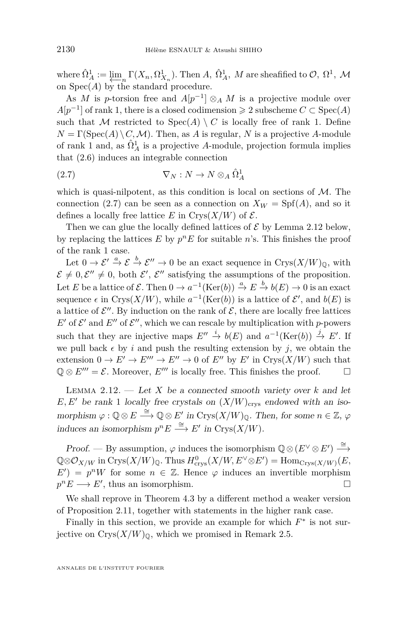where  $\hat{\Omega}^1_A := \lim_{A \to \infty} \Gamma(X_n, \Omega^1_{X_n})$ . Then *A*,  $\hat{\Omega}^1_A$ , *M* are sheafified to  $\mathcal{O}, \Omega^1, \mathcal{M}$ on Spec(*A*) by the standard procedure.

As *M* is *p*-torsion free and  $A[p^{-1}] \otimes_A M$  is a projective module over  $A[p^{-1}]$  of rank 1, there is a closed codimension  $\geq 2$  subscheme  $C \subset \text{Spec}(A)$ such that M restricted to  $Spec(A) \setminus C$  is locally free of rank 1. Define  $N = \Gamma(\text{Spec}(A) \setminus C, \mathcal{M})$ . Then, as *A* is regular, *N* is a projective *A*-module of rank 1 and, as  $\hat{\Omega}^1_A$  is a projective *A*-module, projection formula implies that [\(2.6\)](#page-21-2) induces an integrable connection

<span id="page-22-0"></span>(2.7) 
$$
\nabla_N : N \to N \otimes_A \hat{\Omega}^1_A
$$

which is quasi-nilpotent, as this condition is local on sections of  $M$ . The connection [\(2.7\)](#page-22-0) can be seen as a connection on  $X_W = Spf(A)$ , and so it defines a locally free lattice *E* in Crys $(X/W)$  of  $\mathcal{E}$ .

Then we can glue the locally defined lattices of  $\mathcal E$  by Lemma [2.12](#page-22-1) below, by replacing the lattices  $E$  by  $p^n E$  for suitable  $n$ 's. This finishes the proof of the rank 1 case.

Let  $0 \to \mathcal{E}' \xrightarrow{a} \mathcal{E} \xrightarrow{b} \mathcal{E}'' \to 0$  be an exact sequence in Crys $(X/W)_{\mathbb{Q}}$ , with  $\mathcal{E} \neq 0, \mathcal{E}'' \neq 0$ , both  $\mathcal{E}', \mathcal{E}''$  satisfying the assumptions of the proposition. Let *E* be a lattice of  $\mathcal{E}$ . Then  $0 \to a^{-1}(\text{Ker}(b)) \xrightarrow{a} E \xrightarrow{b} b(E) \to 0$  is an exact sequence  $\epsilon$  in Crys( $X/W$ ), while  $a^{-1}(\text{Ker}(b))$  is a lattice of  $\mathcal{E}'$ , and  $b(E)$  is a lattice of  $\mathcal{E}''$ . By induction on the rank of  $\mathcal{E}$ , there are locally free lattices  $E'$  of  $\mathcal{E}'$  and  $E''$  of  $\mathcal{E}''$ , which we can rescale by multiplication with *p*-powers such that they are injective maps  $E'' \stackrel{i}{\rightarrow} b(E)$  and  $a^{-1}(\text{Ker}(b)) \stackrel{j}{\rightarrow} E'$ . If we pull back  $\epsilon$  by *i* and push the resulting extension by *j*, we obtain the extension  $0 \to E' \to E''' \to E'' \to 0$  of  $E''$  by  $E'$  in Crys $(X/W)$  such that  $\mathbb{Q} \otimes E''' = \mathcal{E}$ . Moreover,  $E'''$  is locally free. This finishes the proof.

<span id="page-22-1"></span>LEMMA 2.12.  $\qquad$  Let *X* be a connected smooth variety over *k* and let  $E, E'$  be rank 1 locally free crystals on  $(X/W)_{\text{crys}}$  endowed with an iso- $\mathcal{Q}$  in Crys $(X/W)_{\mathbb{Q}}$ . Then, for some  $n \in \mathbb{Z}$ ,  $\varphi$ induces an isomorphism  $p^n E \stackrel{\cong}{\longrightarrow} E'$  in Crys $(X/W)$ .

Proof. — By assumption,  $\varphi$  induces the isomorphism  $\mathbb{Q} \otimes (E^{\vee} \otimes E') \stackrel{\cong}{\longrightarrow}$  $\mathbb{Q} \otimes \mathcal{O}_{X/W}$  in  $\text{Crys}(X/W)_{\mathbb{Q}}$ . Thus  $H^0_{\text{crys}}(X/W, E^{\vee} \otimes E') = \text{Hom}_{\text{Crys}(X/W)}(E,$  $E'$ ) =  $p^nW$  for some  $n \in \mathbb{Z}$ . Hence  $\varphi$  induces an invertible morphism  $p^n E \longrightarrow E'$ , thus an isomorphism.

We shall reprove in Theorem [4.3](#page-37-0) by a different method a weaker version of Proposition [2.11,](#page-21-3) together with statements in the higher rank case.

Finally in this section, we provide an example for which  $F^*$  is not surjective on  $Crys(X/W)_\mathbb{O}$ , which we promised in Remark [2.5.](#page-19-5)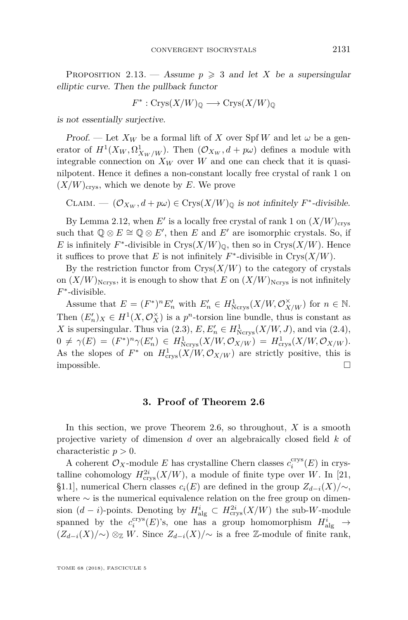<span id="page-23-0"></span>PROPOSITION 2.13. — Assume  $p \geq 3$  and let X be a supersingular elliptic curve. Then the pullback functor

$$
F^* : \text{Crys}(X/W)_{\mathbb{Q}} \longrightarrow \text{Crys}(X/W)_{\mathbb{Q}}
$$

is not essentially surjective.

Proof. — Let  $X_W$  be a formal lift of X over Spf W and let  $\omega$  be a generator of  $H^1(X_W, \Omega^1_{X_W/W})$ . Then  $(\mathcal{O}_{X_W}, d + p\omega)$  defines a module with integrable connection on  $X_W$  over *W* and one can check that it is quasinilpotent. Hence it defines a non-constant locally free crystal of rank 1 on  $(X/W)_{\text{crys}}$ , which we denote by E. We prove

CLAIM.  $\bigcirc$   $(\mathcal{O}_{X_W}, d + p\omega) \in \text{Crys}(X/W)_{\mathbb{Q}}$  is not infinitely  $F^*$ -divisible.

By Lemma [2.12,](#page-22-1) when  $E'$  is a locally free crystal of rank 1 on  $(X/W)_{\text{crys}}$ such that  $\mathbb{Q} \otimes E \cong \mathbb{Q} \otimes E'$ , then *E* and *E'* are isomorphic crystals. So, if *E* is infinitely  $F^*$ -divisible in Crys $(X/W)_{\mathbb{Q}}$ , then so in Crys $(X/W)$ . Hence it suffices to prove that *E* is not infinitely  $F^*$ -divisible in Crys $(X/W)$ .

By the restriction functor from  $Crys(X/W)$  to the category of crystals on  $(X/W)_{\text{Ncrys}}$ , it is enough to show that *E* on  $(X/W)_{\text{Ncrys}}$  is not infinitely *F* ∗ -divisible.

Assume that  $E = (F^*)^n E'_n$  with  $E'_n \in H^1_{\text{Ncrys}}(X/W, \mathcal{O}_{X/W}^{\times})$  for  $n \in \mathbb{N}$ . Then  $(E'_n)_X \in H^1(X, \mathcal{O}_X^{\times})$  is a  $p^n$ -torsion line bundle, thus is constant as *X* is supersingular. Thus via  $(2.3)$ ,  $E, E'_n \in H^1_{\text{Ncrys}}(X/W, J)$ , and via  $(2.4)$ ,  $0 \neq \gamma(E) = (F^*)^n \gamma(E'_n) \in H^1_{\text{Ncrys}}(X/W, \mathcal{O}_{X/W}) = H^1_{\text{crys}}(X/W, \mathcal{O}_{X/W}).$ As the slopes of  $F^*$  on  $H^1_{\text{crys}}(X/W, \mathcal{O}_{X/W})$  are strictly positive, this is impossible.  $\square$ 

#### **3. Proof of Theorem [2.6](#page-19-3)**

<span id="page-23-1"></span>In this section, we prove Theorem [2.6,](#page-19-3) so throughout, *X* is a smooth projective variety of dimension *d* over an algebraically closed field *k* of characteristic *p >* 0.

A coherent  $\mathcal{O}_X$ -module *E* has crystalline Chern classes  $c_i^{\text{crys}}(E)$  in crystalline cohomology  $H^{2i}_{\text{crys}}(X/W)$ , a module of finite type over *W*. In [\[21,](#page-39-14) §1.1], numerical Chern classes  $c_i(E)$  are defined in the group  $Z_{d-i}(X)/\sim$ , where ∼ is the numerical equivalence relation on the free group on dimension  $(d - i)$ -points. Denoting by  $H_{\text{alg}}^i \subset H_{\text{crys}}^{2i}(X/W)$  the sub-*W*-module spanned by the  $c_i^{\text{crys}}(E)$ 's, one has a group homomorphism  $H^i_{\text{alg}} \to$  $(Z_{d-i}(X)/\sim)$  ⊗<sub>Z</sub> *W*. Since  $Z_{d-i}(X)/\sim$  is a free Z-module of finite rank,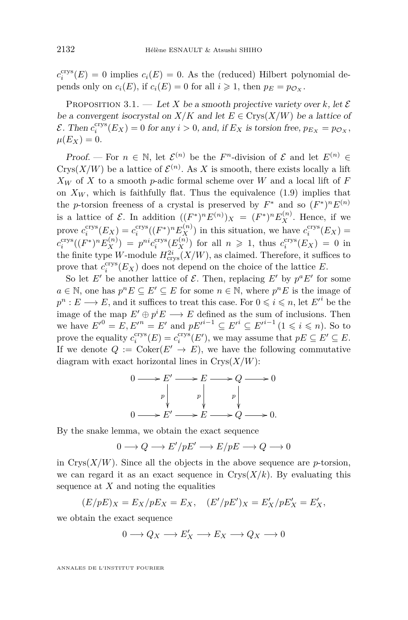$c_i^{\text{crys}}(E) = 0$  implies  $c_i(E) = 0$ . As the (reduced) Hilbert polynomial depends only on  $c_i(E)$ , if  $c_i(E) = 0$  for all  $i \geq 1$ , then  $p_E = p_{\mathcal{O}_Y}$ .

<span id="page-24-0"></span>PROPOSITION 3.1. — Let X be a smooth projective variety over k, let  $\mathcal E$ be a convergent isocrystal on  $X/K$  and let  $E \in Crys(X/W)$  be a lattice of  $\mathcal{E}$ . Then  $c_i^{\text{crys}}(E_X) = 0$  for any  $i > 0$ , and, if  $E_X$  is torsion free,  $p_{E_X} = p_{\mathcal{O}_X}$ ,  $\mu(E_X) = 0.$ 

Proof. — For  $n \in \mathbb{N}$ , let  $\mathcal{E}^{(n)}$  be the *F*<sup>n</sup>-division of  $\mathcal{E}$  and let  $E^{(n)} \in$ Crys( $X/W$ ) be a lattice of  $\mathcal{E}^{(n)}$ . As X is smooth, there exists locally a lift  $X_W$  of *X* to a smooth *p*-adic formal scheme over *W* and a local lift of *F* on  $X_W$ , which is faithfully flat. Thus the equivalence [\(1.9\)](#page-8-0) implies that the *p*-torsion freeness of a crystal is preserved by  $F^*$  and so  $(F^*)^n E^{(n)}$ is a lattice of  $\mathcal{E}$ . In addition  $((F^*)^n E^{(n)})_X = (F^*)^n E_X^{(n)}$ . Hence, if we prove  $c_i^{\text{crys}}(E_X) = c_i^{\text{crys}}((F^*)^n E_X^{(n)})$  in this situation, we have  $c_i^{\text{crys}}(E_X) =$  $c_i^{\text{crys}}((F^*)^n E_X^{(n)}) = p^{ni} c_i^{\text{crys}}(E_X^{(n)})$  for all  $n \geq 1$ , thus  $c_i^{\text{crys}}(E_X) = 0$  in the finite type *W*-module  $H_{\text{crys}}^{2i}(X/W)$ , as claimed. Therefore, it suffices to prove that  $c_i^{\text{crys}}(E_X)$  does not depend on the choice of the lattice *E*.

So let *E'* be another lattice of  $\mathcal{E}$ . Then, replacing *E'* by  $p^a E'$  for some *a* ∈ N, one has  $p^n E \subseteq E' \subseteq E$  for some  $n \in \mathbb{N}$ , where  $p^n E$  is the image of  $p^n : E \longrightarrow E$ , and it suffices to treat this case. For  $0 \leqslant i \leqslant n$ , let  $E'^i$  be the image of the map  $E' \oplus p^i E \longrightarrow E$  defined as the sum of inclusions. Then we have  $E'^{0} = E, E'^{n} = E'$  and  $pE'^{i-1} \subseteq E'^{i} \subseteq E'^{i-1}$   $(1 \leq i \leq n)$ . So to prove the equality  $c_i^{\text{crys}}(E) = c_i^{\text{crys}}(E')$ , we may assume that  $pE \subseteq E' \subseteq E$ . If we denote  $Q := \text{Coker}(E' \to E)$ , we have the following commutative diagram with exact horizontal lines in  $Crys(X/W)$ :

$$
0 \longrightarrow E' \longrightarrow E \longrightarrow Q \longrightarrow 0
$$
  
\n
$$
p \downarrow p \downarrow p \downarrow p \downarrow
$$
  
\n
$$
0 \longrightarrow E' \longrightarrow E \longrightarrow Q \longrightarrow 0.
$$

By the snake lemma, we obtain the exact sequence

$$
0\longrightarrow Q\longrightarrow E'/pE'\longrightarrow E/pE\longrightarrow Q\longrightarrow 0
$$

in  $Crys(X/W)$ . Since all the objects in the above sequence are *p*-torsion, we can regard it as an exact sequence in  $Crys(X/k)$ . By evaluating this sequence at *X* and noting the equalities

$$
(E/pE)_X = E_X/pE_X = E_X, \quad (E'/pE')_X = E'_X/pE'_X = E'_X,
$$

we obtain the exact sequence

$$
0 \longrightarrow Q_X \longrightarrow E'_X \longrightarrow E_X \longrightarrow Q_X \longrightarrow 0
$$

ANNALES DE L'INSTITUT FOURIER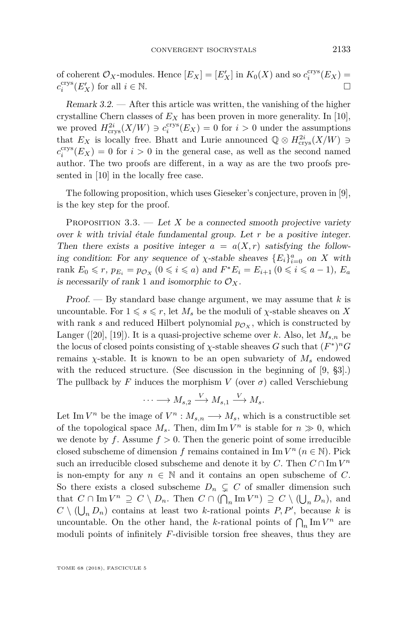of coherent  $\mathcal{O}_X$ -modules. Hence  $[E_X] = [E'_X]$  in  $K_0(X)$  and so  $c_i^{\text{crys}}(E_X) =$  $c_i^{\text{crys}}(E'_X)$  for all  $i \in \mathbb{N}$ .

Remark 3.2. — After this article was written, the vanishing of the higher crystalline Chern classes of  $E_X$  has been proven in more generality. In [\[10\]](#page-38-10), we proved  $H_{\text{crys}}^{2i}(X/W) \ni c_i^{\text{crys}}(E_X) = 0$  for  $i > 0$  under the assumptions that  $E_X$  is locally free. Bhatt and Lurie announced  $\mathbb{Q} \otimes H_{\text{crys}}^{2i}(X/W) \ni$  $c_i^{\text{crys}}(E_X) = 0$  for  $i > 0$  in the general case, as well as the second named author. The two proofs are different, in a way as are the two proofs presented in [\[10\]](#page-38-10) in the locally free case.

The following proposition, which uses Gieseker's conjecture, proven in [\[9\]](#page-38-1), is the key step for the proof.

<span id="page-25-0"></span>PROPOSITION  $3.3.$  — Let X be a connected smooth projective variety over *k* with trivial étale fundamental group. Let *r* be a positive integer. Then there exists a positive integer  $a = a(X, r)$  satisfying the following condition: For any sequence of  $\chi$ -stable sheaves  ${E_i}_{i=0}^a$  on *X* with rank  $E_0 \le r$ ,  $p_{E_i} = p_{\mathcal{O}_X}$  ( $0 \le i \le a$ ) and  $F^*E_i = E_{i+1}$  ( $0 \le i \le a-1$ ),  $E_a$ is necessarily of rank 1 and isomorphic to  $\mathcal{O}_X$ .

Proof. — By standard base change argument, we may assume that *k* is uncountable. For  $1 \le s \le r$ , let  $M_s$  be the moduli of *χ*-stable sheaves on *X* with rank *s* and reduced Hilbert polynomial  $p_{\mathcal{O}_X}$ , which is constructed by Langer ([\[20\]](#page-39-15), [\[19\]](#page-39-16)). It is a quasi-projective scheme over *k*. Also, let  $M_{s,n}$  be the locus of closed points consisting of  $\chi$ -stable sheaves *G* such that  $(F^*)^n G$ remains *χ*-stable. It is known to be an open subvariety of  $M_s$  endowed with the reduced structure. (See discussion in the beginning of [\[9,](#page-38-1) §3].) The pullback by *F* induces the morphism *V* (over  $\sigma$ ) called Verschiebung

$$
\cdots \longrightarrow M_{s,2} \stackrel{V}{\longrightarrow} M_{s,1} \stackrel{V}{\longrightarrow} M_s.
$$

Let Im  $V^n$  be the image of  $V^n$  :  $M_{s,n} \longrightarrow M_s$ , which is a constructible set of the topological space  $M_s$ . Then, dim Im  $V^n$  is stable for  $n \gg 0$ , which we denote by  $f$ . Assume  $f > 0$ . Then the generic point of some irreducible closed subscheme of dimension *f* remains contained in Im  $V^n$  ( $n \in \mathbb{N}$ ). Pick such an irreducible closed subscheme and denote it by  $C$ . Then  $C \cap \text{Im } V^n$ is non-empty for any  $n \in \mathbb{N}$  and it contains an open subscheme of *C*. So there exists a closed subscheme  $D_n \subsetneq C$  of smaller dimension such that  $C \cap \text{Im } V^n \supseteq C \setminus D_n$ . Then  $C \cap (\bigcap_n \text{Im } V^n) \supseteq C \setminus (\bigcup_n D_n)$ , and  $C \setminus (\bigcup_n D_n)$  contains at least two *k*-rational points  $P, P'$ , because *k* is uncountable. On the other hand, the *k*-rational points of  $\bigcap_n \text{Im } V^n$  are moduli points of infinitely *F*-divisible torsion free sheaves, thus they are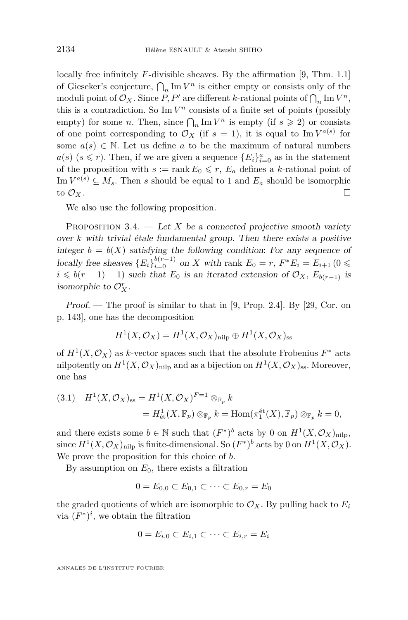locally free infinitely *F*-divisible sheaves. By the affirmation [\[9,](#page-38-1) Thm. 1.1] of Gieseker's conjecture,  $\bigcap_n \text{Im } V^n$  is either empty or consists only of the moduli point of  $\mathcal{O}_X$ . Since  $P, P'$  are different *k*-rational points of  $\bigcap_n \text{Im } V^n$ , this is a contradiction. So  $\text{Im } V^n$  consists of a finite set of points (possibly empty) for some *n*. Then, since  $\bigcap_n \text{Im } V^n$  is empty (if  $s \geq 2$ ) or consists of one point corresponding to  $\mathcal{O}_X$  (if  $s = 1$ ), it is equal to Im  $V^{a(s)}$  for some  $a(s) \in \mathbb{N}$ . Let us define *a* to be the maximum of natural numbers  $a(s)$  ( $s \leq r$ ). Then, if we are given a sequence  ${E_i}_{i=0}^a$  as in the statement of the proposition with  $s := \operatorname{rank} E_0 \leq r$ ,  $E_a$  defines a *k*-rational point of Im  $V^{a(s)} \subseteq M_s$ . Then *s* should be equal to 1 and  $E_a$  should be isomorphic to  $\mathcal{O}_X$ .

We also use the following proposition.

<span id="page-26-0"></span>PROPOSITION  $3.4.$  — Let *X* be a connected projective smooth variety over *k* with trivial étale fundamental group. Then there exists a positive integer  $b = b(X)$  satisfying the following condition: For any sequence of locally free sheaves  ${E_i}_{i=0}^{b(r-1)}$  on *X* with rank  $E_0 = r$ ,  $F^*E_i = E_{i+1}$  (0  $\leq$  $i \leq b(r-1) - 1$ ) such that  $E_0$  is an iterated extension of  $\mathcal{O}_X$ ,  $E_{b(r-1)}$  is isomorphic to  $\mathcal{O}_X^r$ .

Proof. — The proof is similar to that in [\[9,](#page-38-1) Prop. 2.4]. By [\[29,](#page-39-17) Cor. on p. 143], one has the decomposition

$$
H^1(X, \mathcal{O}_X) = H^1(X, \mathcal{O}_X)_{\text{nilp}} \oplus H^1(X, \mathcal{O}_X)_{\text{ss}}
$$

of  $H^1(X, \mathcal{O}_X)$  as *k*-vector spaces such that the absolute Frobenius  $F^*$  acts nilpotently on  $H^1(X, \mathcal{O}_X)$ <sub>nilp</sub> and as a bijection on  $H^1(X, \mathcal{O}_X)$ <sub>ss</sub>. Moreover, one has

<span id="page-26-1"></span>
$$
(3.1) \quad H^1(X, \mathcal{O}_X)_{ss} = H^1(X, \mathcal{O}_X)^{F=1} \otimes_{\mathbb{F}_p} k
$$

$$
= H^1_{\text{et}}(X, \mathbb{F}_p) \otimes_{\mathbb{F}_p} k = \text{Hom}(\pi_1^{\text{et}}(X), \mathbb{F}_p) \otimes_{\mathbb{F}_p} k = 0,
$$

and there exists some  $b \in \mathbb{N}$  such that  $(F^*)^b$  acts by 0 on  $H^1(X, \mathcal{O}_X)_{\text{nilp}},$ since  $H^1(X, \mathcal{O}_X)_{\text{nilp}}$  is finite-dimensional. So  $(F^*)^b$  acts by 0 on  $H^1(X, \mathcal{O}_X)$ . We prove the proposition for this choice of *b*.

By assumption on  $E_0$ , there exists a filtration

$$
0 = E_{0,0} \subset E_{0,1} \subset \cdots \subset E_{0,r} = E_0
$$

the graded quotients of which are isomorphic to  $\mathcal{O}_X$ . By pulling back to  $E_i$ via  $(F^*)^i$ , we obtain the filtration

$$
0 = E_{i,0} \subset E_{i,1} \subset \cdots \subset E_{i,r} = E_i
$$

ANNALES DE L'INSTITUT FOURIER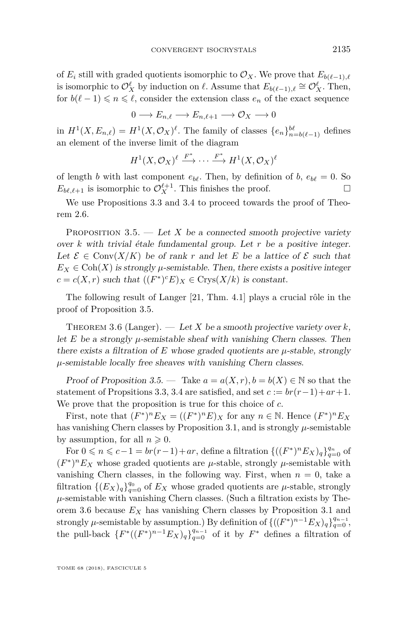of  $E_i$  still with graded quotients isomorphic to  $\mathcal{O}_X$ . We prove that  $E_{b(\ell-1),\ell}$ is isomorphic to  $\mathcal{O}_X^{\ell}$  by induction on  $\ell$ . Assume that  $E_{b(\ell-1),\ell} \cong \mathcal{O}_X^{\ell}$ . Then, for  $b(\ell-1) \leq n \leq \ell$ , consider the extension class  $e_n$  of the exact sequence

$$
0 \longrightarrow E_{n,\ell} \longrightarrow E_{n,\ell+1} \longrightarrow \mathcal{O}_X \longrightarrow 0
$$

in  $H^1(X, E_{n,\ell}) = H^1(X, \mathcal{O}_X)^\ell$ . The family of classes  $\{e_n\}_{n=b(\ell-1)}^{\ell\ell}$  defines an element of the inverse limit of the diagram

$$
H^1(X, \mathcal{O}_X)^{\ell} \xrightarrow{F^*} \cdots \xrightarrow{F^*} H^1(X, \mathcal{O}_X)^{\ell}
$$

of length *b* with last component  $e_{b\ell}$ . Then, by definition of *b*,  $e_{b\ell} = 0$ . So  $E_{b\ell,\ell+1}$  is isomorphic to  $\mathcal{O}_X^{\ell+1}$ . This finishes the proof.

We use Propositions [3.3](#page-25-0) and [3.4](#page-26-0) to proceed towards the proof of Theorem [2.6.](#page-19-3)

<span id="page-27-0"></span>PROPOSITION  $3.5.$  — Let X be a connected smooth projective variety over *k* with trivial étale fundamental group. Let *r* be a positive integer. Let  $\mathcal{E} \in \text{Conv}(X/K)$  be of rank r and let E be a lattice of  $\mathcal{E}$  such that  $E_X \in \text{Coh}(X)$  is strongly  $\mu$ -semistable. Then, there exists a positive integer  $c = c(X, r)$  such that  $((F^*)^c E)_X \in \text{Crys}(X/k)$  is constant.

The following result of Langer [\[21,](#page-39-14) Thm. 4.1] plays a crucial rôle in the proof of Proposition [3.5.](#page-27-0)

<span id="page-27-1"></span>THEOREM 3.6 (Langer).  $\qquad$  Let *X* be a smooth projective variety over *k*, let  $E$  be a strongly  $\mu$ -semistable sheaf with vanishing Chern classes. Then there exists a filtration of  $E$  whose graded quotients are  $\mu$ -stable, strongly *µ*-semistable locally free sheaves with vanishing Chern classes.

Proof of Proposition [3.5.](#page-27-0) — Take  $a = a(X, r), b = b(X) \in \mathbb{N}$  so that the statement of Propsitions [3.3,](#page-25-0) [3.4](#page-26-0) are satisfied, and set  $c := br(r-1) + ar + 1$ . We prove that the proposition is true for this choice of *c*.

First, note that  $(F^*)^n E_X = ((F^*)^n E)_X$  for any  $n \in \mathbb{N}$ . Hence  $(F^*)^n E_X$ has vanishing Chern classes by Proposition [3.1,](#page-24-0) and is strongly  $\mu$ -semistable by assumption, for all  $n \geqslant 0$ .

For 0 ≤ *n* ≤ *c*−1 = *br*(*r*−1)+*ar*, define a filtration {(( $F^*$ )<sup>*n*</sup> $E_X$ )<sub>*q*</sub>} $\frac{q_n}{q=0}$  of  $(F^*)^n E_X$  whose graded quotients are  $\mu$ -stable, strongly  $\mu$ -semistable with vanishing Chern classes, in the following way. First, when  $n = 0$ , take a filtration  $\{(E_X)_q\}_{q=0}^{q_0}$  of  $E_X$  whose graded quotients are  $\mu$ -stable, strongly  $\mu$ -semistable with vanishing Chern classes. (Such a filtration exists by Theorem [3.6](#page-27-1) because *E<sup>X</sup>* has vanishing Chern classes by Proposition [3.1](#page-24-0) and strongly  $\mu$ -semistable by assumption.) By definition of  $\{((F^*)^{n-1}E_X)_q\}_{q=0}^{q_{n-1}}$ , the pull-back  $\{F^*((F^*)^{n-1}E_X)_q\}_{q=0}^{q_{n-1}}$  of it by  $F^*$  defines a filtration of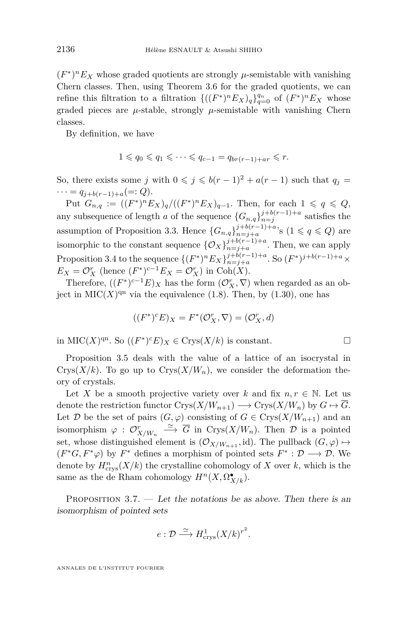$(F^*)^n E_X$  whose graded quotients are strongly  $\mu$ -semistable with vanishing Chern classes. Then, using Theorem [3.6](#page-27-1) for the graded quotients, we can refine this filtration to a filtration  $\{((F^*)^n E_X)_q\}_{q=0}^{q_n}$  of  $(F^*)^n E_X$  whose graded pieces are  $\mu$ -stable, strongly  $\mu$ -semistable with vanishing Chern classes.

By definition, we have

$$
1 \leqslant q_0 \leqslant q_1 \leqslant \cdots \leqslant q_{c-1} = q_{br(r-1)+ar} \leqslant r.
$$

So, there exists some *j* with  $0 \leq j \leq b(r-1)^2 + a(r-1)$  such that  $q_j =$  $\cdots = q_{j+b(r-1)+a} (=: Q).$ 

 $Put G_{n,q} := ((F^*)^n E_X)_q / ((F^*)^n E_X)_{q-1}.$  Then, for each  $1 \leq q \leq Q$ , any subsequence of length *a* of the sequence  $\{G_{n,q}\}_{n=1}^{j+b(r-1)+a}$  satisfies the assumption of Proposition [3.3.](#page-25-0) Hence  ${G_{n,q}}_{n=j+a}^{j+b(r-1)+a}$ , s  $(1 \leq q \leq Q)$  are isomorphic to the constant sequence  $\{O_X\}_{n=j+a}^{j+b(r-1)+a}$ . Then, we can apply Proposition [3.4](#page-26-0) to the sequence  $\{(F^*)^n E_X\}_{n=j+a}^{j+b(r-1)+a}$ . So  $(F^*)^{j+b(r-1)+a} \times$  $E_X = \mathcal{O}_X^r$  (hence  $(F^*)^{c-1}E_X = \mathcal{O}_X^r$ ) in Coh(*X*).

Therefore,  $((F^*)^{c-1}E)_X$  has the form  $(\mathcal{O}_X^r, \nabla)$  when regarded as an object in  $\text{MIC}(X)^{\text{qn}}$  via the equivalence [\(1.8\)](#page-8-2). Then, by [\(1.30\)](#page-16-1), one has

$$
((F^*)^c E)_X = F^* (\mathcal{O}_X^r, \nabla) = (\mathcal{O}_X^r, d)
$$

in MIC(*X*)<sup>qn</sup>. So ((*F*<sup>\*</sup>)<sup>*c*</sup>*E*)*x* ∈ Crys(*X*/*k*) is constant.  $□$ 

Proposition [3.5](#page-27-0) deals with the value of a lattice of an isocrystal in Crys $(X/k)$ . To go up to Crys $(X/W_n)$ , we consider the deformation theory of crystals.

Let *X* be a smooth projective variety over *k* and fix  $n, r \in \mathbb{N}$ . Let us denote the restriction functor  $Crys(X/W_{n+1}) \longrightarrow Crys(X/W_n)$  by  $G \mapsto \overline{G}$ . Let  $\mathcal{D}$  be the set of pairs  $(G, \varphi)$  consisting of  $G \in \text{Crys}(X/W_{n+1})$  and an isomorphism  $\varphi : \mathcal{O}_{X/W_n}^r \xrightarrow{\simeq} \overline{G}$  in Crys $(X/W_n)$ . Then  $\mathcal D$  is a pointed set, whose distinguished element is  $(\mathcal{O}_{X/W_{n+1}}, \mathrm{id})$ . The pullback  $(G, \varphi) \mapsto$  $(F^*G, F^*\varphi)$  by  $F^*$  defines a morphism of pointed sets  $F^* : \mathcal{D} \longrightarrow \mathcal{D}$ . We denote by  $H^n_{\text{crys}}(X/k)$  the crystalline cohomology of X over  $k$ , which is the same as the de Rham cohomology  $H^n(X, \Omega^{\bullet}_{X/k})$ .

<span id="page-28-0"></span>PROPOSITION 3.7. — Let the notations be as above. Then there is an isomorphism of pointed sets

$$
e: \mathcal{D} \stackrel{\simeq}{\longrightarrow} H^1_{\text{crys}}(X/k)^{r^2}.
$$

ANNALES DE L'INSTITUT FOURIER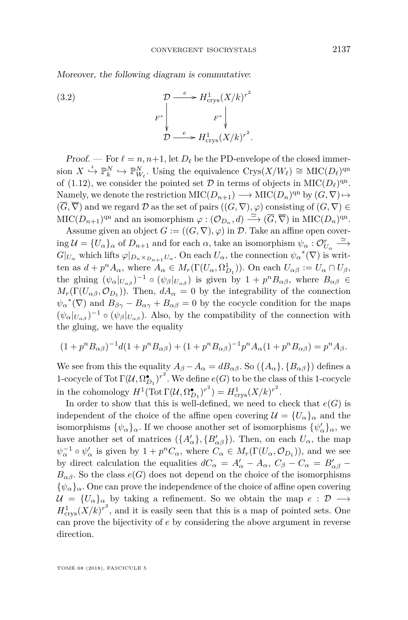Moreover, the following diagram is commutative:

<span id="page-29-0"></span>(3.2)  
\n
$$
\mathcal{D} \xrightarrow{e} H^1_{\text{crys}}(X/k)^{r^2}
$$
\n
$$
F^* \downarrow \qquad F^* \downarrow
$$
\n
$$
\mathcal{D} \xrightarrow{e} H^1_{\text{crys}}(X/k)^{r^2}.
$$

Proof. — For  $\ell = n, n+1$ , let  $D_{\ell}$  be the PD-envelope of the closed immersion  $X \xrightarrow{\iota} \mathbb{P}_{k}^{N} \hookrightarrow \mathbb{P}_{W_{\ell}}^{N}$ . Using the equivalence  $Crys(X/W_{\ell}) \cong \text{MIC}(D_{\ell})^{\text{qn}}$ of [\(1.12\)](#page-9-1), we consider the pointed set  $D$  in terms of objects in  $\mathrm{MIC}(D_\ell)^{\mathrm{qn}}$ . Namely, we denote the restriction  $\mathrm{MIC}(D_{n+1}) \longrightarrow \mathrm{MIC}(D_n)^{\mathrm{qn}}$  by  $(G, \nabla) \mapsto$  $(\overline{G}, \overline{\nabla})$  and we regard  $\mathcal D$  as the set of pairs  $((G, \nabla), \varphi)$  consisting of  $(G, \nabla) \in$  $\mathrm{MIC}(D_{n+1})^{\mathrm{qn}}$  and an isomorphism  $\varphi : (\mathcal{O}_{D_n}, d) \stackrel{\simeq}{\longrightarrow} (\overline{G}, \overline{\nabla})$  in  $\mathrm{MIC}(D_n)^{\mathrm{qn}}$ .

Assume given an object  $G := ((G, \nabla), \varphi)$  in D. Take an affine open cover- $\lim_{\Delta} U = \{U_{\alpha}\}_\alpha$  of  $D_{n+1}$  and for each  $\alpha$ , take an isomorphism  $\psi_{\alpha}: \mathcal{O}_{U_{\alpha}}^r \xrightarrow{\simeq} \mathcal{O}_{U_{\alpha}}^r$  $G|_{U_{\alpha}}$  which lifts  $\varphi|_{D_n \times_{D_{n+1}} U_{\alpha}}$ . On each  $U_{\alpha}$ , the connection  $\psi_{\alpha}^*(\nabla)$  is written as  $d + p^n A_\alpha$ , where  $A_\alpha \in M_r(\Gamma(U_\alpha, \Omega_{D_1}^1))$ . On each  $U_{\alpha\beta} := U_\alpha \cap U_\beta$ , the gluing  $(\psi_\alpha|_{U_{\alpha\beta}})^{-1} \circ (\psi_\beta|_{U_{\alpha\beta}})$  is given by  $1 + p^n B_{\alpha\beta}$ , where  $B_{\alpha\beta} \in$  $M_r(\Gamma(U_{\alpha\beta}, \mathcal{O}_{D_1}))$ . Then,  $dA_{\alpha} = 0$  by the integrability of the connection  $\psi_{\alpha}^* (\nabla)$  and  $B_{\beta\gamma} - B_{\alpha\gamma} + B_{\alpha\beta} = 0$  by the cocycle condition for the maps  $(\psi_{\alpha}|_{U_{\alpha\beta}})^{-1} \circ (\psi_{\beta}|_{U_{\alpha\beta}})$ . Also, by the compatibility of the connection with the gluing, we have the equality

$$
(1 + p^{n} B_{\alpha\beta})^{-1} d(1 + p^{n} B_{\alpha\beta}) + (1 + p^{n} B_{\alpha\beta})^{-1} p^{n} A_{\alpha} (1 + p^{n} B_{\alpha\beta}) = p^{n} A_{\beta}.
$$

We see from this the equality  $A_{\beta} - A_{\alpha} = dB_{\alpha\beta}$ . So  $(\{A_{\alpha}\}, \{B_{\alpha\beta}\})$  defines a 1-cocycle of Tot  $\Gamma(\mathcal{U}, \Omega^{\bullet}_{D_1})^{r^2}$ . We define  $e(G)$  to be the class of this 1-cocycle in the cohomology  $H^1(\text{Tot}\,\Gamma(\mathcal{U}, \Omega_{D_1}^{\bullet})^{r^2}) = H^1_{\text{crys}}(X/k)^{r^2}$ .

In order to show that this is well-defined, we need to check that  $e(G)$  is independent of the choice of the affine open covering  $\mathcal{U} = \{U_{\alpha}\}_\alpha$  and the isomorphisms  $\{\psi_{\alpha}\}_{\alpha}$ . If we choose another set of isomorphisms  $\{\psi_{\alpha}'\}_{\alpha}$ , we have another set of matrices  $({A}'_{\alpha}, {B}'_{\alpha\beta})$ . Then, on each  $U_{\alpha}$ , the map  $\psi_{\alpha}^{-1} \circ \psi_{\alpha}'$  is given by  $1 + p^n C_{\alpha}$ , where  $C_{\alpha} \in M_r(\Gamma(U_{\alpha}, \mathcal{O}_{D_1}))$ , and we see by direct calculation the equalities  $dC_{\alpha} = A'_{\alpha} - A_{\alpha}, C_{\beta} - C_{\alpha} = B'_{\alpha\beta} B_{\alpha\beta}$ . So the class  $e(G)$  does not depend on the choice of the isomorphisms  ${\psi_{\alpha}}_{\alpha}$ . One can prove the independence of the choice of affine open covering  $U = \{U_{\alpha}\}_\alpha$  by taking a refinement. So we obtain the map  $e : \mathcal{D} \longrightarrow$  $H_{\text{crys}}^1(X/k)^{r^2}$ , and it is easily seen that this is a map of pointed sets. One can prove the bijectivity of *e* by considering the above argument in reverse direction.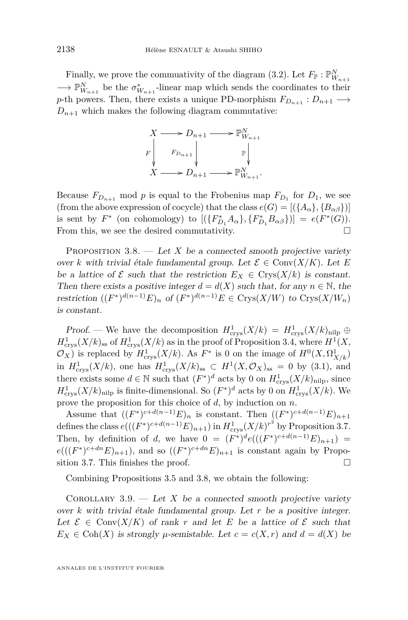Finally, we prove the commuativity of the diagram [\(3.2\)](#page-29-0). Let  $F_{\mathbb{P}}: \mathbb{P}_{W_{n+1}}^N$  $\longrightarrow \mathbb{P}_{W_{n+1}}^N$  be the  $\sigma_{W_{n+1}}^*$ -linear map which sends the coordinates to their *p*-th powers. Then, there exists a unique PD-morphism  $F_{D_{n+1}}: D_{n+1} \longrightarrow$  $D_{n+1}$  which makes the following diagram commutative:



Because  $F_{D_{n+1}}$  mod *p* is equal to the Frobenius map  $F_{D_1}$  for  $D_1$ , we see (from the above expression of cocycle) that the class  $e(G) = [(\lbrace A_{\alpha} \rbrace, \lbrace B_{\alpha \beta} \rbrace)]$ is sent by  $F^*$  (on cohomology) to  $[(\{F_{D_1}^* A_\alpha\}, \{F_{D_1}^* B_{\alpha \beta}\})] = e(F^*(G)).$ From this, we see the desired commutativity.  $\Box$ 

<span id="page-30-0"></span>PROPOSITION  $3.8.$  — Let X be a connected smooth projective variety over *k* with trivial étale fundamental group. Let  $\mathcal{E} \in \text{Conv}(X/K)$ . Let *E* be a lattice of  $\mathcal E$  such that the restriction  $E_X \in Crys(X/k)$  is constant. Then there exists a positive integer  $d = d(X)$  such that, for any  $n \in \mathbb{N}$ , the restriction  $((F^*)^{d(n-1)}E)_n$  of  $(F^*)^{d(n-1)}E \in \text{Crys}(X/W)$  to  $\text{Crys}(X/W_n)$ is constant.

Proof. — We have the decomposition  $H^1_{\text{crys}}(X/k) = H^1_{\text{crys}}(X/k)_{\text{nilp}} \oplus$  $H_{\text{crys}}^1(X/k)_{\text{ss}}$  of  $H_{\text{crys}}^1(X/k)$  as in the proof of Proposition [3.4,](#page-26-0) where  $H^1(X,$  $\mathcal{O}_X$ ) is replaced by  $H^1_{\text{crys}}(X/k)$ . As  $F^*$  is 0 on the image of  $H^0(X, \Omega^1_{X/k})$ in  $H^1_{\text{crys}}(X/k)$ , one has  $H^1_{\text{crys}}(X/k)_{\text{ss}} \subset H^1(X,\mathcal{O}_X)_{\text{ss}} = 0$  by [\(3.1\)](#page-26-1), and there exists some  $d \in \mathbb{N}$  such that  $(F^*)^d$  acts by 0 on  $H^1_{\text{crys}}(X/k)_{\text{nilp}}$ , since  $H^1_{\text{crys}}(X/k)_{\text{nilp}}$  is finite-dimensional. So  $(F^*)^d$  acts by 0 on  $H^1_{\text{crys}}(X/k)$ . We prove the proposition for this choice of *d*, by induction on *n*.

Assume that  $((F^*)^{c+d(n-1)}E)_n$  is constant. Then  $((F^*)^{c+d(n-1)}E)_{n+1}$ defines the class  $e(((F^*)^{c+d(n-1)}E)_{n+1})$  in  $H^1_{\text{crys}}(X/k)^{r^2}$  by Proposition [3.7.](#page-28-0) Then, by definition of *d*, we have  $0 = (F^*)^d e(((F^*)^{c+d(n-1)}E)_{n+1}) =$  $e(((F^*)^{c+dn}E)_{n+1})$ , and so  $((F^*)^{c+dn}E)_{n+1}$  is constant again by Propo-sition [3.7.](#page-28-0) This finishes the proof.  $\Box$ 

Combining Propositions [3.5](#page-27-0) and [3.8,](#page-30-0) we obtain the following:

<span id="page-30-1"></span>COROLLARY 3.9. — Let X be a connected smooth projective variety over *k* with trivial étale fundamental group. Let *r* be a positive integer. Let  $\mathcal{E} \in \text{Conv}(X/K)$  of rank r and let E be a lattice of  $\mathcal{E}$  such that  $E_X \in \text{Coh}(X)$  is strongly  $\mu$ -semistable. Let  $c = c(X, r)$  and  $d = d(X)$  be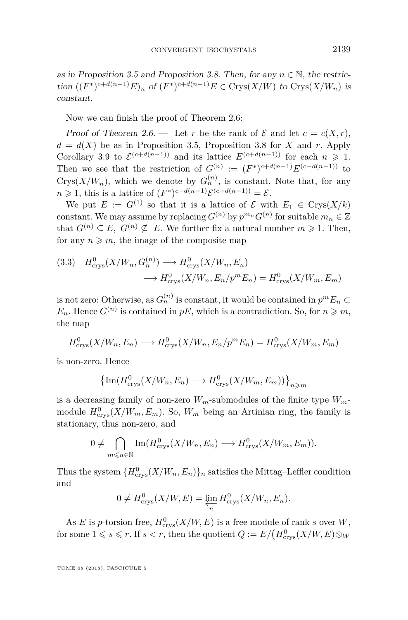as in Proposition [3.5](#page-27-0) and Proposition [3.8.](#page-30-0) Then, for any  $n \in \mathbb{N}$ , the restric- $\int_{R}^{R} (F^*)^{c+d(n-1)} E$ <sup>n</sup> of  $(F^*)^{c+d(n-1)} E \in \text{Crys}(X/W)$  to  $\text{Crys}(X/W_n)$  is constant.

Now we can finish the proof of Theorem [2.6:](#page-19-3)

Proof of Theorem [2.6.](#page-19-3) — Let *r* be the rank of  $\mathcal E$  and let  $c = c(X,r)$ ,  $d = d(X)$  be as in Proposition [3.5,](#page-27-0) Proposition [3.8](#page-30-0) for *X* and *r*. Apply Corollary [3.9](#page-30-1) to  $\mathcal{E}^{(c+d(n-1))}$  and its lattice  $E^{(c+d(n-1))}$  for each  $n \geq 1$ . Then we see that the restriction of  $G^{(n)} := (F^*)^{c+d(n-1)}E^{(c+d(n-1))}$  to Crys $(X/W_n)$ , which we denote by  $G_n^{(n)}$ , is constant. Note that, for any *n* ≥ 1, this is a lattice of  $(F^*)^{c+d(n-1)}\mathcal{E}^{(c+d(n-1))} = \mathcal{E}$ .

We put  $E := G^{(1)}$  so that it is a lattice of  $\mathcal E$  with  $E_1 \in Crys(X/k)$ constant. We may assume by replacing  $G^{(n)}$  by  $p^{m_n}G^{(n)}$  for suitable  $m_n \in \mathbb{Z}$ that  $G^{(n)} \subseteq E$ ,  $G^{(n)} \nsubseteq E$ . We further fix a natural number  $m \geq 1$ . Then, for any  $n \geq m$ , the image of the composite map

<span id="page-31-0"></span>
$$
(3.3) \quad H_{\text{crys}}^0(X/W_n, G_n^{(n)}) \longrightarrow H_{\text{crys}}^0(X/W_n, E_n)
$$
\n
$$
\longrightarrow H_{\text{crys}}^0(X/W_n, E_n/p^m E_n) = H_{\text{crys}}^0(X/W_m, E_m)
$$

is not zero: Otherwise, as  $G_n^{(n)}$  is constant, it would be contained in  $p^m E_n \subset$  $E_n$ . Hence  $G^{(n)}$  is contained in  $pE$ , which is a contradiction. So, for  $n \geq m$ , the map

$$
H_{\text{crys}}^0(X/W_n, E_n) \longrightarrow H_{\text{crys}}^0(X/W_n, E_n/p^m E_n) = H_{\text{crys}}^0(X/W_m, E_m)
$$

is non-zero. Hence

$$
\left\{ \mathrm{Im}(H^0_{\mathrm{crys}}(X/W_n, E_n) \longrightarrow H^0_{\mathrm{crys}}(X/W_m, E_m)) \right\}_{n \geq m}
$$

is a decreasing family of non-zero  $W_m$ -submodules of the finite type  $W_m$ module  $H^0_{\text{crys}}(X/W_m, E_m)$ . So,  $W_m$  being an Artinian ring, the family is stationary, thus non-zero, and

$$
0 \neq \bigcap_{m \leq n \in \mathbb{N}} \text{Im}(H^0_{\text{crys}}(X/W_n, E_n) \longrightarrow H^0_{\text{crys}}(X/W_m, E_m)).
$$

Thus the system  $\{H^0_{\text{crys}}(X/W_n, E_n)\}_n$  satisfies the Mittag–Leffler condition and

$$
0 \neq H_{\text{crys}}^0(X/W, E) = \varprojlim_n H_{\text{crys}}^0(X/W_n, E_n).
$$

As *E* is *p*-torsion free,  $H^0_{\text{crys}}(X/W, E)$  is a free module of rank *s* over *W*, for some  $1 \leqslant s \leqslant r$ . If  $s < r$ , then the quotient  $Q := E/(H_{\text{crys}}^0(X/W, E) \otimes_W$ 

TOME 68 (2018), FASCICULE 5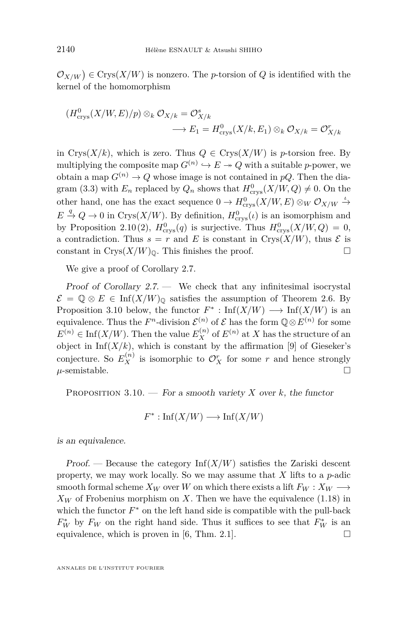$\mathcal{O}_{X/W}$   $\in \text{Crys}(X/W)$  is nonzero. The *p*-torsion of *Q* is identified with the kernel of the homomorphism

$$
(H_{\text{crys}}^0(X/W,E)/p) \otimes_k \mathcal{O}_{X/k} = \mathcal{O}_{X/k}^s
$$
  

$$
\longrightarrow E_1 = H_{\text{crys}}^0(X/k,E_1) \otimes_k \mathcal{O}_{X/k} = \mathcal{O}_{X/k}^r
$$

in Crys $(X/k)$ , which is zero. Thus  $Q \in Crys(X/W)$  is *p*-torsion free. By multiplying the composite map  $G^{(n)} \hookrightarrow E \twoheadrightarrow Q$  with a suitable *p*-power, we obtain a map  $G^{(n)} \to Q$  whose image is not contained in *pQ*. Then the dia-gram [\(3.3\)](#page-31-0) with  $E_n$  replaced by  $Q_n$  shows that  $H^0_{\text{crys}}(X/W, Q) \neq 0$ . On the other hand, one has the exact sequence  $0 \to H^0_{\text{crys}}(X/W, E) \otimes_W \mathcal{O}_{X/W} \xrightarrow{\iota}$  $E \stackrel{q}{\to} Q \to 0$  in Crys(*X/W*). By definition,  $H_{\text{crys}}^0(\iota)$  is an isomorphism and by Proposition [2.10](#page-20-1)[\(2\)](#page-20-3),  $H^0_{\text{crys}}(q)$  is surjective. Thus  $H^0_{\text{crys}}(X/W, Q) = 0$ , a contradiction. Thus  $s = r$  and E is constant in Crys( $X/W$ ), thus  $\mathcal E$  is constant in Crys $(X/W)_{\mathbb{Q}}$ . This finishes the proof.

We give a proof of Corollary [2.7.](#page-19-4)

Proof of Corollary  $2.7.$  — We check that any infinitesimal isocrystal  $\mathcal{E} = \mathbb{Q} \otimes E \in \text{Inf}(X/W)_{\mathbb{Q}}$  satisfies the assumption of Theorem [2.6.](#page-19-3) By Proposition [3.10](#page-32-0) below, the functor  $F^*$ : Inf( $X/W$ )  $\longrightarrow$  Inf( $X/W$ ) is an equivalence. Thus the  $F^n$ -division  $\mathcal{E}^{(n)}$  of  $\mathcal{E}$  has the form  $\mathbb{Q} \otimes E^{(n)}$  for some  $E^{(n)} \in \text{Inf}(X/W)$ . Then the value  $E_X^{(n)}$  of  $E^{(n)}$  at *X* has the structure of an object in Inf $(X/k)$ , which is constant by the affirmation [\[9\]](#page-38-1) of Gieseker's conjecture. So  $E_X^{(n)}$  is isomorphic to  $\mathcal{O}_X^r$  for some *r* and hence strongly  $\mu$ -semistable.

<span id="page-32-0"></span>PROPOSITION  $3.10.$  – For a smooth variety *X* over *k*, the functor

$$
F^* : \text{Inf}(X/W) \longrightarrow \text{Inf}(X/W)
$$

is an equivalence.

Proof. — Because the category  $\text{Inf}(X/W)$  satisfies the Zariski descent property, we may work locally. So we may assume that *X* lifts to a *p*-adic smooth formal scheme  $X_W$  over *W* on which there exists a lift  $F_W : X_W \longrightarrow$  $X_W$  of Frobenius morphism on X. Then we have the equivalence [\(1.18\)](#page-11-3) in which the functor  $F^*$  on the left hand side is compatible with the pull-back  $F_W^*$  by  $F_W$  on the right hand side. Thus it suffices to see that  $F_W^*$  is an equivalence, which is proven in [\[6,](#page-38-11) Thm. 2.1].  $\Box$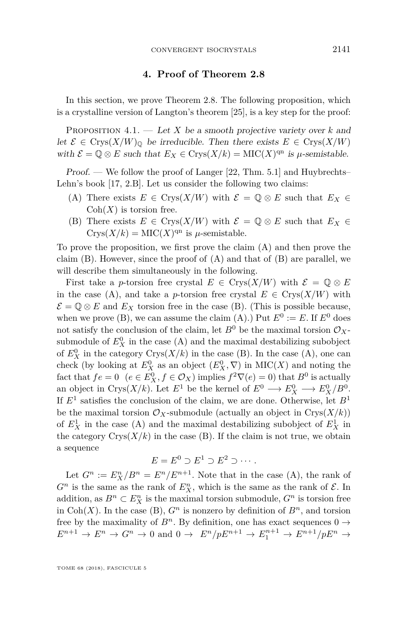#### **4. Proof of Theorem [2.8](#page-19-0)**

<span id="page-33-1"></span>In this section, we prove Theorem [2.8.](#page-19-0) The following proposition, which is a crystalline version of Langton's theorem [\[25\]](#page-39-18), is a key step for the proof:

<span id="page-33-0"></span>Proposition 4.1. — Let *X* be a smooth projective variety over *k* and let  $\mathcal{E} \in \text{Crys}(X/W)_{\mathbb{Q}}$  be irreducible. Then there exists  $E \in \text{Crys}(X/W)$ with  $\mathcal{E} = \mathbb{Q} \otimes E$  such that  $E_X \in \text{Crys}(X/k) = \text{MIC}(X)^{\text{qn}}$  is  $\mu$ -semistable.

Proof. — We follow the proof of Langer [\[22,](#page-39-5) Thm. 5.1] and Huybrechts– Lehn's book [\[17,](#page-39-19) 2.B]. Let us consider the following two claims:

- <span id="page-33-2"></span>(A) There exists  $E \in \text{Crys}(X/W)$  with  $\mathcal{E} = \mathbb{Q} \otimes E$  such that  $E_X \in$  $Coh(X)$  is torsion free.
- <span id="page-33-3"></span>(B) There exists  $E \in \text{Crys}(X/W)$  with  $\mathcal{E} = \mathbb{Q} \otimes E$  such that  $E_X \in$  $Crys(X/k) = \text{MIC}(X)^{\text{qn}}$  is  $\mu$ -semistable.

To prove the proposition, we first prove the claim [\(A\)](#page-33-2) and then prove the claim  $(B)$ . However, since the proof of  $(A)$  and that of  $(B)$  are parallel, we will describe them simultaneously in the following.

First take a *p*-torsion free crystal  $E \in Crys(X/W)$  with  $\mathcal{E} = \mathbb{Q} \otimes E$ in the case [\(A\)](#page-33-2), and take a *p*-torsion free crystal  $E \in Crys(X/W)$  with  $\mathcal{E} = \mathbb{Q} \otimes E$  and  $E_X$  torsion free in the case [\(B\)](#page-33-3). (This is possible because, when we prove [\(B\)](#page-33-3), we can assume the claim [\(A\)](#page-33-2).) Put  $E^0 := E$ . If  $E^0$  does not satisfy the conclusion of the claim, let  $B^0$  be the maximal torsion  $\mathcal{O}_X$ submodule of  $E_X^0$  in the case [\(A\)](#page-33-2) and the maximal destabilizing subobject of  $E_X^0$  in the category  $\text{Crys}(X/k)$  in the case [\(B\)](#page-33-3). In the case [\(A\)](#page-33-2), one can check (by looking at  $E_X^0$  as an object  $(E_X^0, \nabla)$  in  $\text{MIC}(X)$  and noting the fact that  $fe = 0$   $(e \in E_X^0, f \in \mathcal{O}_X)$  implies  $f^2 \nabla(e) = 0$  that  $B^0$  is actually an object in Crys $(X/k)$ . Let  $E^1$  be the kernel of  $E^0 \longrightarrow E_X^0 \longrightarrow E_X^0/B^0$ . If *E*<sup>1</sup> satisfies the conclusion of the claim, we are done. Otherwise, let *B*<sup>1</sup> be the maximal torsion  $\mathcal{O}_X$ -submodule (actually an object in Crys $(X/k)$ ) of  $E_X^1$  in the case [\(A\)](#page-33-2) and the maximal destabilizing subobject of  $E_X^1$  in the category  $Crys(X/k)$  in the case [\(B\)](#page-33-3). If the claim is not true, we obtain a sequence

$$
E = E^0 \supset E^1 \supset E^2 \supset \cdots.
$$

Let  $G^n := E_X^n / B^n = E^n / E^{n+1}$ . Note that in the case [\(A\)](#page-33-2), the rank of  $G^n$  is the same as the rank of  $E_X^n$ , which is the same as the rank of  $\mathcal{E}$ . In addition, as  $B^n \subset E^n_X$  is the maximal torsion submodule,  $G^n$  is torsion free in Coh(*X*). In the case [\(B\)](#page-33-3),  $G<sup>n</sup>$  is nonzero by definition of  $B<sup>n</sup>$ , and torsion free by the maximality of  $B^n$ . By definition, one has exact sequences  $0 \rightarrow$  $E^{n+1} \to E^n \to G^n \to 0$  and  $0 \to E^n/pE^{n+1} \to E^{n+1} \to E^{n+1}/pE^n \to$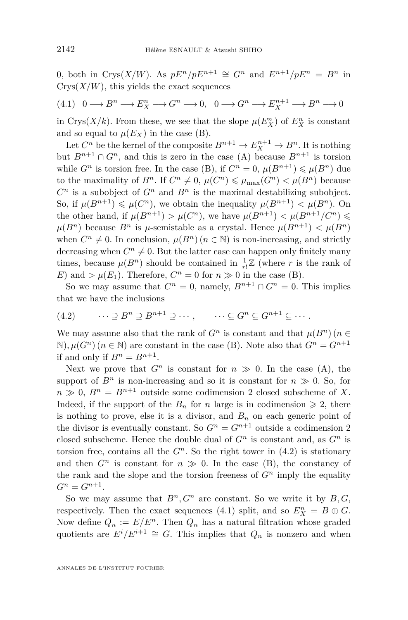0*,* both in Crys(*X/W*). As  $pE^n/pE^{n+1} \cong G^n$  and  $E^{n+1}/pE^n = B^n$  in  $C<sub>rys</sub>(X/W)$ , this yields the exact sequences

<span id="page-34-1"></span> $(4.1)$   $0 \longrightarrow B^n \longrightarrow E_X^n \longrightarrow G^n \longrightarrow 0,$   $0 \longrightarrow G^n \longrightarrow E_X^{n+1} \longrightarrow B^n \longrightarrow 0$ 

in Crys $(X/k)$ . From these, we see that the slope  $\mu(E_X^n)$  of  $E_X^n$  is constant and so equal to  $\mu(E_X)$  in the case [\(B\)](#page-33-3).

Let  $C^n$  be the kernel of the composite  $B^{n+1} \to E_X^{n+1} \to B^n$ . It is nothing but  $B^{n+1} \cap G^n$ , and this is zero in the case [\(A\)](#page-33-2) because  $B^{n+1}$  is torsion while  $G^n$  is torsion free. In the case [\(B\)](#page-33-3), if  $C^n = 0$ ,  $\mu(B^{n+1}) \leq \mu(B^n)$  due to the maximality of  $B^n$ . If  $C^n \neq 0$ ,  $\mu(C^n) \leq \mu_{\max}(G^n) < \mu(B^n)$  because  $C^n$  is a subobject of  $G^n$  and  $B^n$  is the maximal destabilizing subobject. So, if  $\mu(B^{n+1}) \le \mu(C^n)$ , we obtain the inequality  $\mu(B^{n+1}) < \mu(B^n)$ . On the other hand, if  $\mu(B^{n+1}) > \mu(C^n)$ , we have  $\mu(B^{n+1}) < \mu(B^{n+1}/C^n)$  $\mu(B^n)$  because  $B^n$  is  $\mu$ -semistable as a crystal. Hence  $\mu(B^{n+1}) < \mu(B^n)$ when  $C^n \neq 0$ . In conclusion,  $\mu(B^n)(n \in \mathbb{N})$  is non-increasing, and strictly decreasing when  $C^n \neq 0$ . But the latter case can happen only finitely many times, because  $\mu(B^n)$  should be contained in  $\frac{1}{r!}\mathbb{Z}$  (where *r* is the rank of *E*) and *>*  $\mu(E_1)$ . Therefore,  $C^n = 0$  for  $n \gg 0$  in the case [\(B\)](#page-33-3).

So we may assume that  $C^n = 0$ , namely,  $B^{n+1} \cap G^n = 0$ . This implies that we have the inclusions

<span id="page-34-0"></span>
$$
(4.2) \qquad \cdots \supseteq B^n \supseteq B^{n+1} \supseteq \cdots, \qquad \cdots \subseteq G^n \subseteq G^{n+1} \subseteq \cdots.
$$

We may assume also that the rank of  $G^n$  is constant and that  $\mu(B^n)(n \in$ N),  $\mu(G^n)$  ( $n \in \mathbb{N}$ ) are constant in the case [\(B\)](#page-33-3). Note also that  $G^n = G^{n+1}$ if and only if  $B^n = B^{n+1}$ .

Next we prove that  $G^n$  is constant for  $n \gg 0$ . In the case [\(A\)](#page-33-2), the support of  $B^n$  is non-increasing and so it is constant for  $n \gg 0$ . So, for  $n \gg 0$ ,  $B^n = B^{n+1}$  outside some codimension 2 closed subscheme of X. Indeed, if the support of the  $B_n$  for *n* large is in codimension  $\geq 2$ , there is nothing to prove, else it is a divisor, and  $B_n$  on each generic point of the divisor is eventually constant. So  $G<sup>n</sup> = G<sup>n+1</sup>$  outside a codimension 2 closed subscheme. Hence the double dual of  $G<sup>n</sup>$  is constant and, as  $G<sup>n</sup>$  is torsion free, contains all the  $G<sup>n</sup>$ . So the right tower in  $(4.2)$  is stationary and then  $G^n$  is constant for  $n \gg 0$ . In the case [\(B\)](#page-33-3), the constancy of the rank and the slope and the torsion freeness of  $G<sup>n</sup>$  imply the equality  $G^{n} = G^{n+1}$ .

So we may assume that  $B^n, G^n$  are constant. So we write it by  $B, G$ , respectively. Then the exact sequences [\(4.1\)](#page-34-1) split, and so  $E_X^n = B \oplus G$ . Now define  $Q_n := E/E^n$ . Then  $Q_n$  has a natural filtration whose graded quotients are  $E^{i}/E^{i+1} \cong G$ . This implies that  $Q_n$  is nonzero and when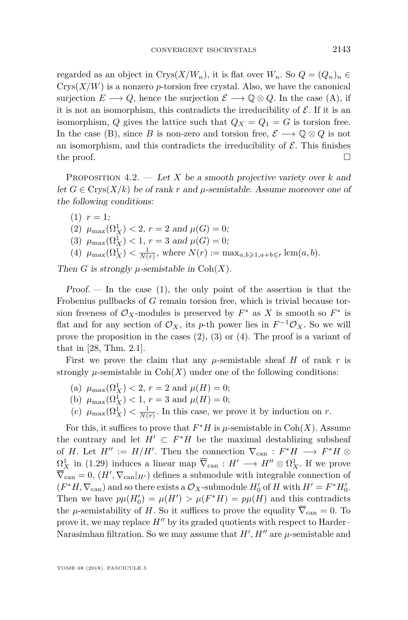regarded as an object in  $Crys(X/W_n)$ , it is flat over  $W_n$ . So  $Q = (Q_n)_n \in$  $Crys(X/W)$  is a nonzero *p*-torsion free crystal. Also, we have the canonical surjection  $E \longrightarrow Q$ , hence the surjection  $\mathcal{E} \longrightarrow \mathbb{Q} \otimes Q$ . In the case [\(A\)](#page-33-2), if it is not an isomorphism, this contradicts the irreducibility of  $\mathcal E$ . If it is an isomorphism, *Q* gives the lattice such that  $Q_X = Q_1 = G$  is torsion free. In the case [\(B\)](#page-33-3), since *B* is non-zero and torsion free,  $\mathcal{E} \longrightarrow \mathbb{Q} \otimes Q$  is not an isomorphism, and this contradicts the irreducibility of  $\mathcal E$ . This finishes the proof.  $\Box$ 

<span id="page-35-0"></span>Proposition 4.2. — Let *X* be a smooth projective variety over *k* and let  $G \in \text{Crys}(X/k)$  be of rank r and  $\mu$ -semistable. Assume moreover one of the following conditions:

<span id="page-35-3"></span><span id="page-35-2"></span><span id="page-35-1"></span> $(1)$   $r = 1$ ; (2)  $\mu_{\max}(\Omega_X^1) < 2, r = 2 \text{ and } \mu(G) = 0;$ (3)  $\mu_{\max}(\Omega_X^1) < 1, r = 3 \text{ and } \mu(G) = 0;$  $(4)$   $\mu_{\max}(\Omega_X^1) < \frac{1}{N(r)}$ , where  $N(r) := \max_{a,b \geq 1, a+b \leq r} \text{lcm}(a, b)$ .

<span id="page-35-4"></span>Then *G* is strongly  $\mu$ -semistable in Coh $(X)$ .

 $Proof.$  — In the case [\(1\)](#page-35-1), the only point of the assertion is that the Frobenius pullbacks of *G* remain torsion free, which is trivial because torsion freeness of  $\mathcal{O}_X$ -modules is preserved by  $F^*$  as X is smooth so  $F^*$  is flat and for any section of  $\mathcal{O}_X$ , its *p*-th power lies in  $F^{-1}\mathcal{O}_X$ . So we will prove the proposition in the cases  $(2)$ ,  $(3)$  or  $(4)$ . The proof is a variant of that in [\[28,](#page-39-20) Thm. 2.1].

First we prove the claim that any  $\mu$ -semistable sheaf *H* of rank *r* is strongly  $\mu$ -semistable in  $\mathrm{Coh}(X)$  under one of the following conditions:

- <span id="page-35-5"></span>(a)  $\mu_{\max}(\Omega_X^1) < 2, r = 2 \text{ and } \mu(H) = 0;$
- <span id="page-35-6"></span>(b)  $\mu_{\max}(\Omega_X^1) < 1, r = 3 \text{ and } \mu(H) = 0;$
- <span id="page-35-7"></span>(c)  $\mu_{\max}(\Omega_X^1) < \frac{1}{N(r)}$ . In this case, we prove it by induction on *r*.

For this, it suffices to prove that  $F^*H$  is  $\mu$ -semistable in Coh(*X*). Assume the contrary and let  $H' \subset F^*H$  be the maximal destablizing subsheaf of *H*. Let  $H'' := H/H'$ . Then the connection  $\nabla_{\text{can}} : F^*H \longrightarrow F^*H \otimes$  $\Omega_X^1$  in [\(1.29\)](#page-16-0) induces a linear map  $\overline{\nabla}_{\text{can}} : H' \longrightarrow H'' \otimes \Omega_X^1$ . If we prove  $\overline{\nabla}_{\text{can}} = 0$ ,  $(H', \nabla_{\text{can}}|_{H'})$  defines a submodule with integrable connection of  $(F^*H, \nabla_{\text{can}})$  and so there exists a  $\mathcal{O}_X$ -submodule  $H'_0$  of  $H$  with  $H' = F^*H'_0$ . Then we have  $p\mu(H'_0) = \mu(H') > \mu(F^*H) = p\mu(H)$  and this contradicts the *µ*-semistability of *H*. So it suffices to prove the equality  $\overline{\nabla}_{\text{can}} = 0$ . To prove it, we may replace  $H''$  by its graded quotients with respect to Harder– Narasimhan filtration. So we may assume that  $H', H''$  are  $\mu$ -semistable and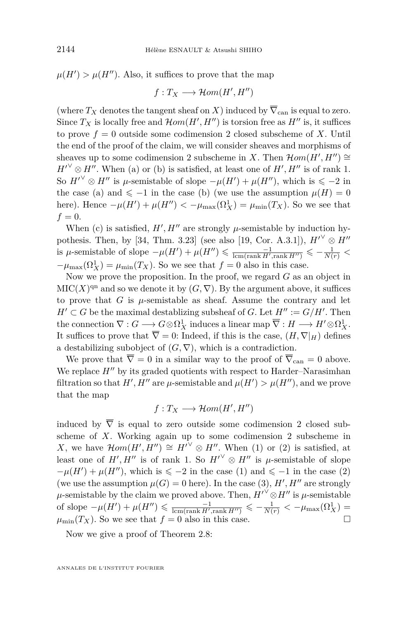$\mu(H') > \mu(H'')$ . Also, it suffices to prove that the map

$$
f: T_X \longrightarrow \mathcal{H}om(H', H'')
$$

(where  $T_X$  denotes the tangent sheaf on *X*) induced by  $\overline{\nabla}_{\text{can}}$  is equal to zero. Since  $T_X$  is locally free and  $\mathcal{H}om(H', H'')$  is torsion free as  $H''$  is, it suffices to prove  $f = 0$  outside some codimension 2 closed subscheme of X. Until the end of the proof of the claim, we will consider sheaves and morphisms of sheaves up to some codimension 2 subscheme in *X*. Then  $\mathcal{H}om(H', H'') \cong$  $H^{\prime\vee} \otimes H^{\prime\prime}$ . When [\(a\)](#page-35-5) or [\(b\)](#page-35-6) is satisfied, at least one of  $H', H^{\prime\prime}$  is of rank 1. So  $H^{\prime\vee} \otimes H^{\prime\prime}$  is  $\mu$ -semistable of slope  $-\mu(H') + \mu(H'')$ , which is  $\leqslant -2$  in the case [\(a\)](#page-35-5) and  $\leq -1$  in the case [\(b\)](#page-35-6) (we use the assumption  $\mu(H) = 0$ here). Hence  $-\mu(H') + \mu(H'') < -\mu_{\max}(\Omega_X^1) = \mu_{\min}(T_X)$ . So we see that  $f = 0$ .

When [\(c\)](#page-35-7) is satisfied,  $H', H''$  are strongly  $\mu$ -semistable by induction hy-pothesis. Then, by [\[34,](#page-39-21) Thm. 3.23] (see also [\[19,](#page-39-16) Cor. A.3.1]),  $H^{\prime\vee} \otimes H^{\prime\prime}$  $\mu$ -semistable of slope  $-\mu(H') + \mu(H'') \leq \frac{-1}{\text{lcm}(\text{rank } H', \text{rank } H'')} \leqslant -\frac{1}{N(r)}$  $-\mu_{\max}(\Omega_X^1) = \mu_{\min}(T_X)$ . So we see that  $f = 0$  also in this case.

Now we prove the proposition. In the proof, we regard *G* as an object in  $\mathrm{MIC}(X)^{\mathrm{qn}}$  and so we denote it by  $(G, \nabla)$ . By the argument above, it suffices to prove that  $G$  is  $\mu$ -semistable as sheaf. Assume the contrary and let  $H' \subset G$  be the maximal destablizing subsheaf of *G*. Let  $H'' := G/H'$ . Then the connection  $\nabla: G \longrightarrow G \otimes \Omega^1_X$  induces a linear map  $\overline{\nabla}: H \longrightarrow H' \otimes \Omega^1_X$ . It suffices to prove that  $\overline{\nabla} = 0$ : Indeed, if this is the case,  $(H, \nabla |_H)$  defines a destabilizing subobject of  $(G, \nabla)$ , which is a contradiction.

We prove that  $\overline{\nabla} = 0$  in a similar way to the proof of  $\overline{\nabla}_{\text{can}} = 0$  above. We replace  $H''$  by its graded quotients with respect to Harder–Narasimhan filtration so that  $H'$ ,  $H''$  are  $\mu$ -semistable and  $\mu(H') > \mu(H'')$ , and we prove that the map

$$
f: T_X \longrightarrow \mathcal{H}om(H', H'')
$$

induced by  $\overline{\nabla}$  is equal to zero outside some codimension 2 closed subscheme of *X*. Working again up to some codimension 2 subscheme in *X*, we have  $\mathcal{H}om(H', H'') \cong H'^{\vee} \otimes H''$ . When [\(1\)](#page-35-1) or [\(2\)](#page-35-2) is satisfied, at least one of *H'*, *H''* is of rank 1. So  $H^{\prime\vee} \otimes H^{\prime\prime}$  is  $\mu$ -semistable of slope  $-\mu(H') + \mu(H'')$ , which is  $\leq -2$  in the case [\(1\)](#page-35-1) and  $\leq -1$  in the case [\(2\)](#page-35-2) (we use the assumption  $\mu(G) = 0$  here). In the case [\(3\)](#page-35-3),  $H', H''$  are strongly  $\mu$ -semistable by the claim we proved above. Then,  $H^{\prime\vee} \otimes H^{\prime\prime}$  is  $\mu$ -semistable of slope  $-\mu(H') + \mu(H'') \leq \frac{-1}{\text{lcm}(\text{rank } H', \text{rank } H'')} \leqslant -\frac{1}{N(r)} < -\mu_{\text{max}}(\Omega_X^1)$  =  $\mu_{\min}(T_X)$ . So we see that  $f = 0$  also in this case.

Now we give a proof of Theorem [2.8:](#page-19-0)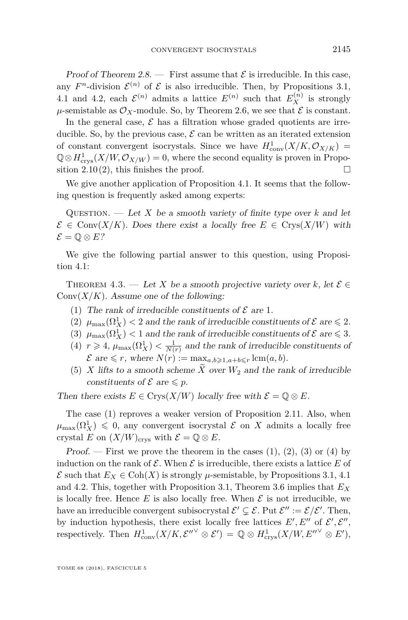Proof of Theorem [2.8.](#page-19-0) — First assume that  $\mathcal E$  is irreducible. In this case, any  $F<sup>n</sup>$ -division  $\mathcal{E}^{(n)}$  of  $\mathcal E$  is also irreducible. Then, by Propositions [3.1,](#page-24-0) [4.1](#page-33-0) and [4.2,](#page-35-0) each  $\mathcal{E}^{(n)}$  admits a lattice  $E^{(n)}$  such that  $E_X^{(n)}$  is strongly  $\mu$ -semistable as  $\mathcal{O}_X$ -module. So, by Theorem [2.6,](#page-19-3) we see that  $\mathcal E$  is constant.

In the general case,  $\mathcal E$  has a filtration whose graded quotients are irreducible. So, by the previous case,  $\mathcal E$  can be written as an iterated extension of constant convergent isocrystals. Since we have  $H_{\text{conv}}^1(X/K, \mathcal{O}_{X/K}) =$  $\mathbb{Q} \otimes H^1_{\text{crys}}(X/W, \mathcal{O}_{X/W}) = 0$ , where the second equality is proven in Propo-sition [2.10](#page-20-1)[\(2\)](#page-20-3), this finishes the proof.  $\square$ 

We give another application of Proposition [4.1.](#page-33-0) It seems that the following question is frequently asked among experts:

QUESTION. — Let X be a smooth variety of finite type over  $k$  and let  $\mathcal{E} \in \text{Conv}(X/K)$ . Does there exist a locally free  $E \in \text{Crys}(X/W)$  with  $\mathcal{E} = \mathbb{O} \otimes E?$ 

We give the following partial answer to this question, using Proposition [4.1:](#page-33-0)

<span id="page-37-0"></span>THEOREM 4.3. — Let X be a smooth projective variety over k, let  $\mathcal{E} \in$  $Conv(X/K)$ . Assume one of the following:

- <span id="page-37-1"></span>(1) The rank of irreducible constituents of  $\mathcal E$  are 1.
- <span id="page-37-2"></span>(2)  $\mu_{\max}(\Omega_X^1) < 2$  and the rank of irreducible constituents of  $\mathcal E$  are  $\leq 2$ .
- <span id="page-37-3"></span>(3)  $\mu_{\max}(\Omega^1_X) < 1$  and the rank of irreducible constituents of  $\mathcal E$  are  $\leq 3$ .
- <span id="page-37-4"></span>(4)  $r \geq 4$ ,  $\mu_{\max}(\Omega_X^1) < \frac{1}{N(r)}$  and the rank of irreducible constituents of  $\mathcal{E}$  are  $\leq r$ , where  $N(r) := \max_{a,b \geq 1, a+b \leq r} \text{lcm}(a, b)$ .
- <span id="page-37-5"></span>(5) *X* lifts to a smooth scheme *X* over  $W_2$  and the rank of irreducible constituents of  $\mathcal E$  are  $\leqslant p$ .

Then there exists  $E \in \text{Crys}(X/W)$  locally free with  $\mathcal{E} = \mathbb{Q} \otimes E$ .

The case [\(1\)](#page-37-1) reproves a weaker version of Proposition [2.11.](#page-21-3) Also, when  $\mu_{\max}(\Omega^1_X) \leq 0$ , any convergent isocrystal  $\mathcal E$  on X admits a locally free crystal *E* on  $(X/W)_{\text{crys}}$  with  $\mathcal{E} = \mathbb{Q} \otimes E$ .

Proof. — First we prove the theorem in the cases  $(1), (2), (3)$  $(1), (2), (3)$  $(1), (2), (3)$  $(1), (2), (3)$  $(1), (2), (3)$  or  $(4)$  by induction on the rank of  $\mathcal E$ . When  $\mathcal E$  is irreducible, there exists a lattice  $E$  of  $\mathcal{E}$  such that  $E_X \in \text{Coh}(X)$  is strongly  $\mu$ -semistable, by Propositions [3.1,](#page-24-0) [4.1](#page-33-0) and [4.2.](#page-35-0) This, together with Proposition [3.1,](#page-24-0) Theorem [3.6](#page-27-1) implies that *E<sup>X</sup>* is locally free. Hence  $E$  is also locally free. When  $\mathcal E$  is not irreducible, we have an irreducible convergent subisocrystal  $\mathcal{E}' \subsetneq \mathcal{E}$ . Put  $\mathcal{E}'' := \mathcal{E}/\mathcal{E}'$ . Then, by induction hypothesis, there exist locally free lattices  $E', E''$  of  $\mathcal{E}', \mathcal{E}''$ , respectively. Then  $H^1_{\text{conv}}(X/K, \mathcal{E}''^{\vee} \otimes \mathcal{E}') = \mathbb{Q} \otimes H^1_{\text{crys}}(X/W, E''^{\vee} \otimes E'),$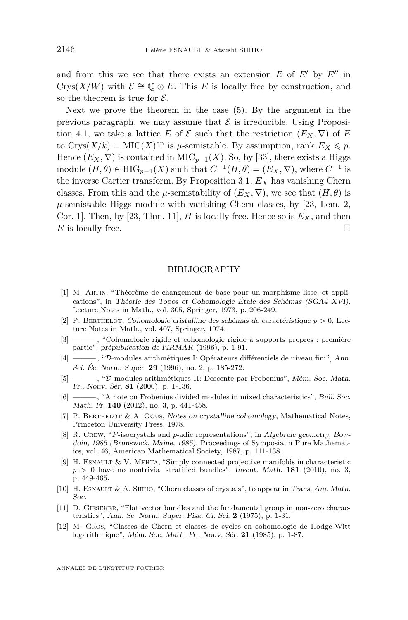and from this we see that there exists an extension  $E$  of  $E'$  by  $E''$  in Crys(*X/W*) with  $\mathcal{E} \cong \mathbb{Q} \otimes E$ . This *E* is locally free by construction, and so the theorem is true for  $\mathcal{E}$ .

Next we prove the theorem in the case [\(5\)](#page-37-5). By the argument in the previous paragraph, we may assume that  $\mathcal E$  is irreducible. Using Proposi-tion [4.1,](#page-33-0) we take a lattice *E* of  $\mathcal E$  such that the restriction  $(E_X, \nabla)$  of *E* to Crys $(X/k) = \text{MIC}(X)^{\text{qn}}$  is  $\mu$ -semistable. By assumption, rank  $E_X \leqslant p$ . Hence  $(E_X, \nabla)$  is contained in MIC<sub>*p*−1</sub>(*X*). So, by [\[33\]](#page-39-11), there exists a Higgs module  $(H, \theta) \in \text{HIG}_{p-1}(X)$  such that  $C^{-1}(H, \theta) = (E_X, \nabla)$ , where  $C^{-1}$  is the inverse Cartier transform. By Proposition [3.1,](#page-24-0)  $E_X$  has vanishing Chern classes. From this and the *µ*-semistability of  $(E_X, \nabla)$ , we see that  $(H, \theta)$  is  $\mu$ -semistable Higgs module with vanishing Chern classes, by [\[23,](#page-39-22) Lem. 2, Cor. 1]. Then, by [\[23,](#page-39-22) Thm. 11],  $H$  is locally free. Hence so is  $E_X$ , and then  $E$  is locally free.

#### BIBLIOGRAPHY

- <span id="page-38-3"></span>[1] M. Artin, "Théorème de changement de base pour un morphisme lisse, et applications", in Théorie des Topos et Cohomologie Étale des Schémas (SGA4 XVI), Lecture Notes in Math., vol. 305, Springer, 1973, p. 206-249.
- <span id="page-38-5"></span>[2] P. BERTHELOT, Cohomologie cristalline des schémas de caractéristique  $p > 0$ , Lecture Notes in Math., vol. 407, Springer, 1974.
- <span id="page-38-7"></span>[3] ——— , "Cohomologie rigide et cohomologie rigide à supports propres : première partie", prépublication de l'IRMAR (1996), p. 1-91.
- <span id="page-38-6"></span>[4] ——— , "D-modules arithmétiques I: Opérateurs différentiels de niveau fini", Ann. Sci. Éc. Norm. Supér. **29** (1996), no. 2, p. 185-272.
- <span id="page-38-8"></span>[5] ——— , "D-modules arithmétiques II: Descente par Frobenius", Mém. Soc. Math. Fr., Nouv. Sér. **81** (2000), p. 1-136.
- <span id="page-38-11"></span>[6] ———, "A note on Frobenius divided modules in mixed characteristics", Bull. Soc. Math. Fr. **140** (2012), no. 3, p. 441-458.
- <span id="page-38-4"></span>[7] P. BERTHELOT & A. OGUS, Notes on crystalline cohomology, Mathematical Notes, Princeton University Press, 1978.
- <span id="page-38-2"></span>[8] R. CREW, "*F*-isocrystals and *p*-adic representations", in Algebraic geometry, Bowdoin, 1985 (Brunswick, Maine, 1985), Proceedings of Symposia in Pure Mathematics, vol. 46, American Mathematical Society, 1987, p. 111-138.
- <span id="page-38-1"></span>[9] H. Esnault & V. Mehta, "Simply connected projective manifolds in characteristic *p >* 0 have no nontrivial stratified bundles", Invent. Math. **181** (2010), no. 3, p. 449-465.
- <span id="page-38-10"></span>[10] H. ESNAULT & A. SHIHO, "Chern classes of crystals", to appear in Trans. Am. Math. Soc.
- <span id="page-38-0"></span>[11] D. Gieseker, "Flat vector bundles and the fundamental group in non-zero characteristics", Ann. Sc. Norm. Super. Pisa, Cl. Sci. **2** (1975), p. 1-31.
- <span id="page-38-9"></span>[12] M. Gros, "Classes de Chern et classes de cycles en cohomologie de Hodge-Witt logarithmique", Mém. Soc. Math. Fr., Nouv. Sér. **21** (1985), p. 1-87.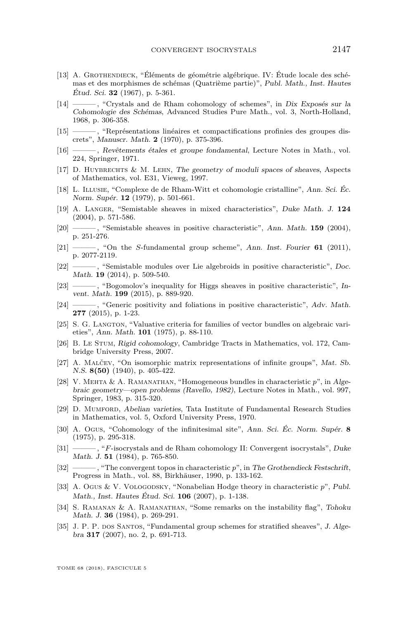- <span id="page-39-4"></span>[13] A. Grothendieck, "Éléments de géométrie algébrique. IV: Étude locale des schémas et des morphismes de schémas (Quatrième partie)", Publ. Math., Inst. Hautes Étud. Sci. **32** (1967), p. 5-361.
- <span id="page-39-6"></span>[14] ——— , "Crystals and de Rham cohomology of schemes", in Dix Exposés sur la Cohomologie des Schémas, Advanced Studies Pure Math., vol. 3, North-Holland, 1968, p. 306-358.
- <span id="page-39-2"></span>[15] ——— , "Représentations linéaires et compactifications profinies des groupes discrets", Manuscr. Math. **2** (1970), p. 375-396.
- <span id="page-39-0"></span>[16] ——— , Revêtements étales et groupe fondamental, Lecture Notes in Math., vol. 224, Springer, 1971.
- <span id="page-39-19"></span>[17] D. Huybrechts & M. Lehn, The geometry of moduli spaces of sheaves, Aspects of Mathematics, vol. E31, Vieweg, 1997.
- <span id="page-39-13"></span>[18] L. Illusie, "Complexe de de Rham-Witt et cohomologie cristalline", Ann. Sci. Éc. Norm. Supér. **12** (1979), p. 501-661.
- <span id="page-39-16"></span>[19] A. Langer, "Semistable sheaves in mixed characteristics", Duke Math. J. **124** (2004), p. 571-586.
- <span id="page-39-15"></span>[20] ——— , "Semistable sheaves in positive characteristic", Ann. Math. **159** (2004), p. 251-276.
- <span id="page-39-14"></span>[21] ——— , "On the *S*-fundamental group scheme", Ann. Inst. Fourier **61** (2011), p. 2077-2119.
- <span id="page-39-5"></span>[22] ——, "Semistable modules over Lie algebroids in positive characteristic", Doc. Math. **19** (2014), p. 509-540.
- <span id="page-39-22"></span>[23] ——, "Bogomolov's inequality for Higgs sheaves in positive characteristic", Invent. Math. **199** (2015), p. 889-920.
- <span id="page-39-12"></span>[24] ——, "Generic positivity and foliations in positive characteristic", Adv. Math. **277** (2015), p. 1-23.
- <span id="page-39-18"></span>[25] S. G. LANGTON, "Valuative criteria for families of vector bundles on algebraic varieties", Ann. Math. **101** (1975), p. 88-110.
- <span id="page-39-10"></span>[26] B. Le Stum, Rigid cohomology, Cambridge Tracts in Mathematics, vol. 172, Cambridge University Press, 2007.
- <span id="page-39-1"></span>[27] A. Malčev, "On isomorphic matrix representations of infinite groups", Mat. Sb. N.S. **8(50)** (1940), p. 405-422.
- <span id="page-39-20"></span>[28] V. Mehta & A. Ramanathan, "Homogeneous bundles in characteristic *p*", in Algebraic geometry—open problems (Ravello, 1982), Lecture Notes in Math., vol. 997, Springer, 1983, p. 315-320.
- <span id="page-39-17"></span>[29] D. Mumford, Abelian varieties, Tata Institute of Fundamental Research Studies in Mathematics, vol. 5, Oxford University Press, 1970.
- <span id="page-39-7"></span>[30] A. Ogus, "Cohomology of the infinitesimal site", Ann. Sci. Éc. Norm. Supér. **8** (1975), p. 295-318.
- <span id="page-39-3"></span>[31] ——— , "*F*-isocrystals and de Rham cohomology II: Convergent isocrystals", Duke Math. J. **51** (1984), p. 765-850.
- <span id="page-39-9"></span>[32] ——— , "The convergent topos in characteristic *p*", in The Grothendieck Festschrift, Progress in Math., vol. 88, Birkhäuser, 1990, p. 133-162.
- <span id="page-39-11"></span>[33] A. Ogus & V. Vologodsky, "Nonabelian Hodge theory in characteristic p", Publ. Math., Inst. Hautes Étud. Sci. **106** (2007), p. 1-138.
- <span id="page-39-21"></span>[34] S. Ramanan & A. Ramanathan, "Some remarks on the instability flag", Tohoku Math. J. **36** (1984), p. 269-291.
- <span id="page-39-8"></span>[35] J. P. P. dos Santos, "Fundamental group schemes for stratified sheaves", J. Algebra **317** (2007), no. 2, p. 691-713.